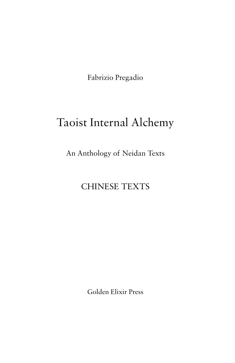Fabrizio Pregadio

# Taoist Internal Alchemy

An Anthology of Neidan Texts

# CHINESE TEXTS

Golden Elixir Press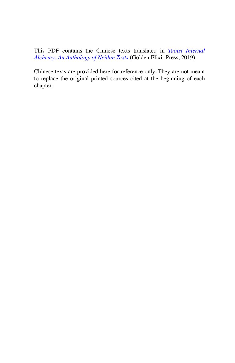This PDF contains the Chinese texts translated in *[Taoist Internal](https://www.goldenelixir.com/press/tao_03_neidan_anthology.html)  [Alchemy: An Anthology of Neidan Texts](https://www.goldenelixir.com/press/tao_03_neidan_anthology.html)* (Golden Elixir Press, 2019).

Chinese texts are provided here for reference only. They are not meant to replace the original printed sources cited at the beginning of each chapter.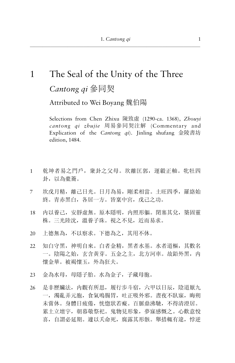# $\mathbf{1}$ The Seal of the Unity of the Three Cantong qi 參同契

Attributed to Wei Boyang 魏伯陽

Selections from Chen Zhixu 陳致虛 (1290-ca. 1368), Zhouvi cantong qi zhujie 周易參同契注解 (Commentary and Explication of the *Cantong qi*). Jinling shufang 金陵書坊 edition, 1484.

- 乾坤者易之門戶, 衆卦之父母。坎離匡郭, 運轂正軸。牝牡四  $\mathbf{1}$ 卦, 以為橐籥。
- $\overline{7}$ 坎戊月精, 離己日光。日月為易, 剛柔相當。十旺四季, 羅絡始 終。青赤黑白, 各居一方。皆稟中宮, 戊己之功。
- 内以養己, 安靜虛無。原本隱明, 内照形軀。閉塞其兌, 築固靈 18 株。三光陸沈, 溫養子珠。視之不見, 近而易求。
- 20 上德無為, 不以察求。下德為之, 其用不休。
- 知白守黑, 神明自來。白者金精, 黑者水基。水者道樞, 其數名  $22$ 一。陰陽之始, 玄含黄芽。五金之主, 北方河車。故鉛外黑, 内 懷金華。被褐懷玉, 外為狂夫。
- 金為水母, 母隱子胎。水為金子, 子藏母胞。  $23$
- 是非歷臟法, 内觀有所思, 履行步斗宿, 六甲以日辰, 陰道厭九 26 一, 濁亂弄元胞, 食氣鳴腸胃, 吐正吸外邪。書夜不臥寐, 晦朔 未嘗休。身體日疲倦, 恍惚狀若癡。百脈鼎沸馳, 不得清澄居。 累十立壇宇, 朝暮敬祭祀。鬼物見形象, 夢寐感慨之。心歡意悅 喜, 自謂必延期。遽以夭命死, 腐露其形骸。舉措輒有違, 悖逆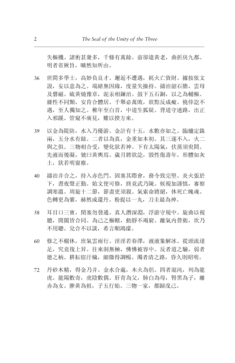失樞機。諸術甚衆多,千條有萬餘。前卻違黃老,曲折戾九都。 明者省厥旨. 臁然知所由。

- 36 世間多學士,高妙負良才。邂逅不遭遇,耗火亡資財。據按依文 說,妄以意為之。端緒無因緣,度量失操持。擣治韶石膽,雲母 及礬磁。硫黄燒豫章,泥汞相鍊治。鼓下五石銅,以之為輔樞。 雜性不同類,安肯合體居。千舉必萬敗,欲黠反成癡。僥倖訖不 遇,至人獨知之。稚年至白首,中道生狐疑。背道守迷路,出正 入邪蹊。管窺不廣見,難以揆方來。
- 39 以金為隄防,水入乃優游。金計有十五,水數亦如之。臨爐定銖 兩,五分水有餘。二者以為真,金重如本初。其三遂不入,火二 與之俱。三物相合受,變化狀若神。下有太陽氣,伏蒸須臾間。 先液而後凝,號曰黃輿焉。歲月將欲訖,毀性傷壽年。形體如灰 土,狀若明窗塵。
- 40 擣治并合之,持入赤色門。固塞其際會,務令致完堅。炎火張於 下, 晝夜聲正勤。始文使可修, 終竟武乃陳。候視加謹慎, 審察 調寒溫。周旋十二節,節盡更須親。氣索命將絕,休死亡魄魂。 色轉更為紫,赫然成還丹。粉提以一丸,刀圭最為神。
- 58 耳目口三寶, 閉塞勿發通。真人潛深淵, 浮游守規中。旋曲以視 聽,開闔皆合同。為己之樞轄,動靜不竭窮。離氣内營衛,坎乃 不用聰。兌合不以談,希言順鴻濛。
- 60 修之不輟休,庶氣雲雨行。淫淫若春澤,液液象解冰。從頭流達 足,究竟復上昇。往來洞無極,怫怫被容中。反者道之驗,弱者 德之柄。耕耘宿汙穢,細微得調暢。濁者清之路,昏久則昭明。
- 72 丹砂木精,得金乃并。金水合處,木火為侶。四者混沌,列為龍 虎。龍陽數奇, 虎陰數偶。肝青為父, 肺白為母, 腎黑為子, 離 赤為女。脾黄為祖,子五行始。三物一家,都歸戊己。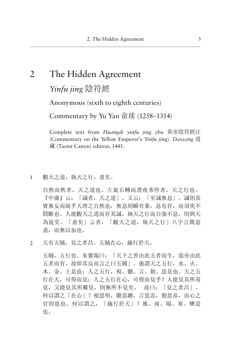# 2 The Hidden Agreement

*Yinfu jing* 陰符經

Anonymous (sixth to eighth centuries)

Commentary by Yu Yan  $\hat{\mathfrak{m}}$  (1258–1314)

Complete text from *Huangdi vinfu jing zhu* 黃帝陰符經注 (Commentary on the Yellow Emperor's *Yinfu jing*). *Daozang* ٳ 藏 (Taoist Canon) edition, 1445.

1 觀天之道, 執天之行, 盡矣。

自然而然者, 天之道也。左旋右轉而晝夜弗停者, 天之行也。 『中庸』云: 「誠者,天之道」。又云: 「至誠無息」。誠則真 實無妄而純乎天理之自然也, 無息則瞬有養, 息有存, 而須臾不 間斷也。人能觀天之道而存其誠, 執天之行而自強不息, 則與天 為徒矣。「盡矣」云者, 「觀天之道, 執天之行」八字言簡意 盡, 而無以加也。

2 天有五賊,見之者昌。五賊在心,施行於天。

五賊, 五行也。朱紫陽曰: 「天下之善由此五者而生, 惡亦由此 五者而有, 故即其反而言之曰五賊」。愚謂天之五行, 水、火、 木、金、土是也;人之五行,視、聽、言、貌、思是也。天之五 行在天,可得而見;人之五行在心,可得而見乎?人能見其所易 見, 又能見其所難見, 則無所不見矣。 故曰: 「見之者昌」。 何以謂之「在心」?視思明, 聽思聰, 言思忠, 貌思恭, 而心之 官則思也。何以謂之,「施行於天」? 風、雨、暘、寒、燠是 也。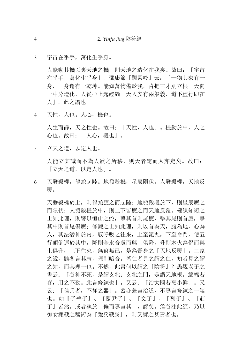$\mathcal{L}$ 宇宙在平手, 萬化生平身。

> 人能動其機以奪天地之機, 則天地之造化在我矣。故曰: 「宇宙 在乎手, 萬化生乎身| 。邵康節『觀易吟』云: 「一物其來有一 身, 一身還有一乾坤。能知萬物備於我, 肯把三才別立根。天向 一中分造化, 人從心上起經綸。天人安有兩般義, 道不虛行即在 人」。此之謂也。

天性, 人也。人心, 機也。  $\overline{4}$ 

> 人生而靜,天之性也。故曰:「天性,人也」。機動於中,人之 心也。故曰: 「人心, 機也」。

立天之道,以定人也。 5

> 人能立其誠而不為人欲之所移, 則天者定而人亦定矣。故曰: 「立天之道,以定人也」。

天發殺機,龍蛇起陸。地發殺機,星辰隕伏。人發殺機,天地反 6 覆。

天發殺機於上,則龍蛇應之而起陸: 地發殺機於下, 則星辰應之 而隕伏: 人發殺機於中, 則上下皆應之而天地反覆。權謀知術之 士知此理, 則譬以恒山之蛇, 擊其首則尾應, 擊其尾則首應, 擊 其中則首尾俱應; 修鍊之士知此理, 則以首為天, 腹為地, 心為 人, 其法潜神於内, 馭呼吸之往來, 上至泥丸, 下至命門, 使五 行顛倒運於其中, 降則金水合處而與土俱降, 升則木火為侶而與 土俱升, 上下往來, 無窮無已, 是為吾身之「天地反覆」。二家 之說,雖各言其志, 理則暗合。蓋仁者見之謂之仁, 知者見之謂 之知,而其理一也。不然,此書何以謂之『陰符』?愚觀老子之 書云: 「谷神不死, 是謂玄牝; 玄牝之門, 是謂天地根。綿綿若 存,用之不勤。此言修鍊也」。又云: 「治大國若烹小鮮」。又 云: 「佳兵者, 不祥之器」。蓋亦兼言治道, 不專言修鍊之一端 也。如『子華子』、『關尹子』、『文子』、『列子』、『莊 子』皆然。或者執於一偏而專言其一, 謬矣。詹谷注此經, 乃以 御女採戰之穢術為『強兵戰勝』, 則又謬之甚焉者也。

 $\overline{4}$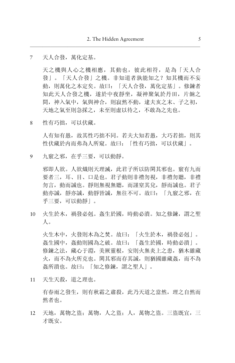#### $\overline{7}$ 天人合發, 萬化定基。

天之機與人心之機相應, 其動也, 彼此相符, 是為「天人合 發|。「天人合發|之機。非知道者孰能知之? 知其機而不妄 動, 則萬化之本定矣。故曰: 「天人合發, 萬化定基」。修鍊者 知此天人合發之機, 遂於中夜靜坐, 凝神聚氣於丹田, 片餉之 間, 神入氣中, 氣與神合, 則寂然不動, 逮夫亥之末、子之初, 天地之氣至則急採之,未至則虚以待之,不敢為之先也。

性有巧拙,可以伏藏。 8

> 人有知有愚, 故其性巧拙不同。若夫大知若愚, 大巧若拙, 則其 性伏藏於内而弗為人所窺。故曰: 「性有巧拙, 可以伏藏」。

九竅之邪, 在乎三要, 可以動靜。 9

> 邪即人欲。人欲熾則天理滅,此君子所以防閑其邪也。竅有九而 要者三,耳、目、口是也。君子動則非禮勿視,非禮勿聽,非禮 勿言, 動而誠也。靜則無視無聽, 而謹窒其兌, 靜而誠也。君子 動亦誠, 靜亦誠, 動靜皆誠, 無往不可。故曰: 「九竅之邪, 在 乎三要,可以動靜」。

火生於木, 禍發必剋。姦生於國, 時動必潰。知之修鍊, 謂之聖  $10<sup>1</sup>$  $\Lambda$ .

火生木中,火發則木為之焚。故曰:「火生於木,禍發必剋」。 姦生國中, 姦動則國為之破。故曰: 「姦生於國, 時動必潰」。 修鍊之法, 藏心于淵, 美厥靈根, 安則火無炎上之患, 猶木雖藏 火,而不為火所克也。閑其邪而存其誠,則猶國雖藏姦,而不為 姦所潰也。故曰: 「知之修鍊, 謂之聖人」。

11 天生天殺, 道之理也。

有春雨之發生,則有秋霜之肅殺,此乃天道之當然,理之自然而 然者也。

12 天地, 萬物之盜; 萬物, 人之盜; 人, 萬物之盜。三盜既宜, 三 才既安。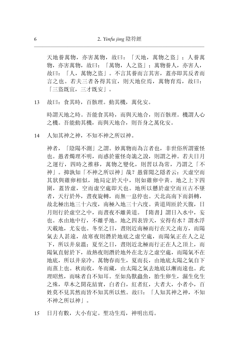天地養萬物, 亦害萬物, 故曰: 「天地, 萬物之盜」: 人養萬 物, 亦害萬物, 故曰: 「萬物, 人之盜」: 萬物養人, 亦害人, 故曰: 「人, 萬物之盜」。不言其養而言其害, 蓋亦即其反者而 言之也。若夫三者各得其宜,則天地位焉,萬物育焉,故曰: [三盜既宜, 三才既安]。

故曰: 食其時, 百骸理。動其機, 萬化安。 13

時謂天地之時。吾能食其時,而與天地合,則百骸理。機謂人心 之機。吾能動其機,而與天地合,則吾身之萬化安。

人知其神之神, 不知不神之所以神。 14

> 神者, 「陰陽不測」之謂。妙萬物而為言者也, 非世俗所謂靈怪 也。愚者燭理不明, 而惑於靈怪奇詭之說, 則謂之神。若夫日月 之運行, 四時之推移, 萬物之變化, 則習以為常, 乃謂之「不 神|。抑孰知「不神之所以神|哉?愚嘗聞之隱者云: 天虚空而 其狀與雞卵相似, 地局定於天中, 則如雞卵中黃。地之上下四 圍, 蓋皆虛, 空而虛空處即天也。地所以懸於虛空而亘古不墜 者,天行於外,書夜旋轉,而無一息停也。天北高南下而斜轉, 故北極出地三十六度, 南極入地三十六度。黃道周匝於天腹, 日 月則行於虚空之中, 而書夜不離黃道。『隋書』謂日入水中, 妄 也。水由地中行,不離乎地。地之四表皆天, 安得有水?謂水浮 天載地, 尤妄也。冬至之日, 書則近南極而行在天之南方, 而陽 氣去人甚遠,故寒夜則潛於地底之虛空處,而陽氣正在人之足 下, 所以井泉溫: 夏至之日, 書則近北極而行正在人之頂上, 而 陽氣直射於下,故熱夜則潛於地外在北方之虛空處,而陽氣不在 地底, 所以井泉冷。萬物春而生, 夏而長, 由地底太陽之氣自下 而蒸上也。秋而收, 冬而藏, 由太陽之氣去地底以漸而遠也。此 理昭然,而昧者自不知耳。至如鳥獸蟲魚,胎生卵生,濕生化生 之殊, 草木之開花結實, 白者白, 紅者紅, 大者大, 小者小, 百 姓莫不見其然而皆不知其所以然。故曰: 「人知其神之神, 不知 不神之所以神|。

日月有數, 大小有定。聖功生焉, 神明出焉。 15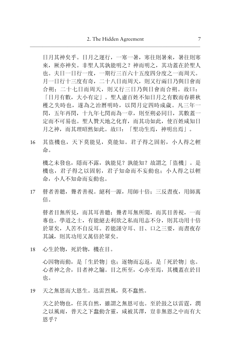日月其神矣乎。日月之運行, 一寒一暑, 寒往則暑來, 暑往則寒 來, 厥亦神矣。非聖人其孰能明之? 神而明之, 其功蓄在於聖人 也。夫日一日行一度, 一期行三百六十五度四分度之一而周天。 月一日行十三度有奇, 二十八日而周天, 則又行兩日乃與日會而 合朔: 二十七日而周天, 則又行三日乃與日會而合朔。故曰: 「日月有數, 大小有定」。聖人慮百姓不知日月之有數而春耕秋 穫之失時也, 遂為之治曆明時, 以閏月定四時成歳。凡三年一 閏, 五年再閏, 十九年七閏而為一章, 則至朔必同日, 其數蓋一 定而不可易也。聖人贊天地之化育,而其功如此, 使百姓咸知日 月之神,而其理昭然如此。故曰:「聖功生焉,神明出焉」。

16 其盜機也,天下莫能見,莫能知。君子得之固躬,小人得之輕 命。

機之未發也, 隱而不露, 孰能見? 孰能知? 故謂之「盜機」。是 機也,君子得之以固躬,君子知命而不妄動也;小人得之以輕 命,小人不知命而妄動也。

17 瞽者善聽, 聾者善視。絕利一源, 用師十倍: 三反書夜, 用師萬 倍。

瞽者目無所見,而其耳善聽; 聾者耳無所聞,而其目善視, 一而 專也。學道之士, 有能絕去利欲之私而用志不分, 則其功用十倍 於眾矣, 人苦不自反耳。若能謹守耳、目、口之三要, 而書夜存 其誠,則其功用又萬倍於眾矣。

18 心生於物,死於物,機在目。

心因物而動, 是「生於物」也; 逐物而忘返, 是「死於物」也。 心者神之舍, 目者神之牖。目之所至, 心亦至焉, 其機蓄在於目 也。

19 天之無恩而大恩生。迅雷烈風, 莫不蠢然。

天之於物也, 任其自然, 雖謂之無恩可也。至於鼓之以雷霆, 潤 之以風雨, 普天之下蠢動含靈, 咸被其澤, 豈非無恩之中而有大 恩乎?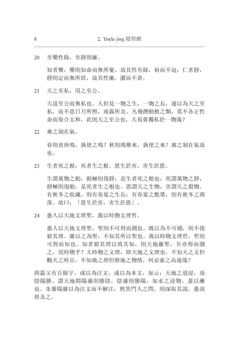20 至樂性餘, 至靜則廉。

> 知者樂, 樂則知命而無所憂, 故其性有餘, 裕而不迫: 仁者靜, 靜則定而無所欲,故其性廉,潔而不貪。

21 天之至私, 用之至公。

> 天道至公而無私也。人但見一物之生, 一物之長, 遂以為天之至 私,而不思日月所照,雨露所及。凡飛潛動植之類,莫不各正性 命而保合太和, 此則天之至公也, 天曷嘗獨私於一物哉?

禽之制在氣。  $22$ 

> 春則倉庚鳴, 孰使之鳴? 秋則鴻雁來, 孰使之來? 禽之制在氣故 也。

生者死之根: 死者生之根。恩生於害, 害生於恩。  $23$ 

牛謂萬物之動, 動極則復靜, 是生者死之根也: 死謂萬物之靜, 靜極則復動, 是死者生之根也。恩謂天之生物, 害謂天之殺物。 有秋冬之收藏, 則有春夏之生長: 有春夏之敷榮, 則有秋冬之凋 落。故曰: 「恩生於害, 害生於恩」。

愚人以天地文理聖,我以時物文理哲。 24

> 愚人以天地文理聖, 聖則不可得而測也。既以為不可測, 則不復 窮其理。雖以之為聖,不知其所以聖也。我以時物文理哲,哲則 可得而知也。知者窮其理以致其知, 則天地雖聖, 吾亦得而測 之, 況時物乎? 夫時物之文理, 即天地之文理也。不知天之文但 觀天之時宜, 不知地之理但察地之物情, 何必索之高遠哉?

終篇又有百餘字, 或以為注文, 或以為本文, 如云: 天地之道浸, 故 陰陽勝。謂天地間陽盛則勝陰, 陰盛則勝陽, 如水之浸物, 蓋以漸 也。朱紫陽雖以為注文而不解注, 然答門人之問, 則深取其說, 愚故 併及之。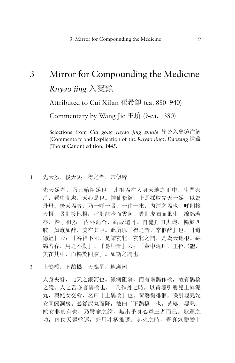# 3 Mirror for Compounding the Medicine *Ruyao jing* 入藥鏡

Attributed to Cui Xifan 崔希範 (ca. 880–940)

Commentary by Wang Jie  $\pm \hat{\psi}$  (?-ca. 1380)

Selections from *Cui gong ruyao jing zhujie* 崔公入藥鏡注解 (Commentary and Explication of the *Ruyao jing*). *Daozang* 道藏 (Taoist Canon) edition, 1445.

1 先天炁,後天炁。得之者,常似醉。

先天炁者, 乃元始祖炁也。此祖炁在人身天地之正中, 生門密 戶, 懸中高處, 天心是也。神仙修鍊, 止是採取先天一炁, 以為 丹母。後天炁者,乃一呼一吸,一往一來,内運之炁也。呼則接 天根, 吸則接地根; 呼則龍吟而雲起, 吸則虎嘯而風生。 綿綿若 存, 歸于祖炁, 内外混合, 結成還丹。自覺丹田火熾, 暢於四 肢。如癡如醉,美在其中。此所以「得之者,常似醉」也。『道 德經』云: 「谷神不死, 是謂玄牝。玄牝之門, 是為天地根。綿 綿若存,用之不勤」。『易坤卦』云: 「黄中通理,正位居體, 美在其中, 而暢於四肢」。如斯之謂也。

3 上鵲橋,下鵲橋。天應星,地應潮。

人身夾脊,比天之銀河也。銀河阻隔,而有靈鵲作橋,故有鵲橋 之說。人之舌亦言鵲橋也。 凡作丹之時,以黃婆引嬰兒上昇泥 丸, 與姹女交會, 名曰「上鵲橋」也。黃婆復徘徊, 咲引嬰兒姹 女同歸洞房。必從泥丸而降,故曰「下鵲橋」也。黃婆、嬰兒、 姹女非真有也,乃譬喻之說,無出乎身心意三者而已。默運之 功, 内仗天罡斡運, 外用斗柄推遷。起火之時, 覺真氣騰騰上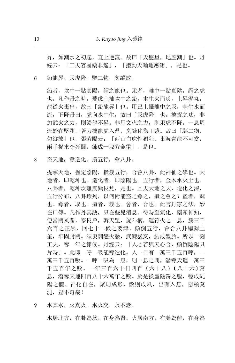昇, 如潮水之初起, 直上逆流。故曰「天應星, 地應潮」也。丹 經云: 「工夫容易藥非遙」, 「撥動天輪地應潮」, 是也。

鉛龍昇, 汞虎降。驅二物, 勿縱放。 6

> 鉛者,坎中一點真陽,謂之龍也。汞者,離中一點真陰,謂之虎 也。凡作丹之時, 飛戊土抽坎中之鉛, 木生火而炎, 上昇泥丸, 龍從火裏出,故曰「鉛龍昇」也。用己土攝離中之汞, 金生水而 流,下降丹田,虎向水中生,故曰「汞虎降」也。擒捉之功,非 加武火之力, 則鉛龍不昇。非用文火之力, 則汞虎不降。一息周 流妙在堅剛。著力擒龍虎入鼎, 烹鍊化為王漿。故曰「驅二物, 勿縱放」也。張紫陽云: 「西山白虎性猖狂, 東海青龍不可當, 兩手捉來令死鬪,鍊成一塊紫金霜」,是也。

盗天地, 奪造化。 攢五行, 會八卦。 8

> 提挈天地, 握定陰陽, 攢簇五行, 合會八卦, 此神仙之學也。天 地者, 即乾坤也。造化者, 即陰陽也。五行者, 金木水火土也。 八卦者, 乾坤坎離震巽艮兌, 是也。且夫天地之大, 造化之深, 五行分布, 八卦環列, 以何術能盜之奪之, 攢之會之? 盜者, 竊 也。奪者, 取也。攢者, 簇也。會者, 合也。此言丹家之法, 妙 在口傳。凡作丹真訣, 只在些兒消息。待時至氣化, 藥產神知, 便當閉風關, 塞艮戶, 斡天罡, 旋斗柄, 運符火之一息, 簇三千 六百之正炁, 回七十二候之要津。顛倒五行, 會合八卦總歸土 釜, 牢固封閉。須臾調燮火發, 武鍊猛烹, 結成聖胎。所以一刻 工夫, 奪一年之節候。丹經云: 「人心若與天心合, 顛倒陰陽只 片時」。此即一呼一吸能奪造化。人一日有一萬三千五百呼, 一 萬三千五百吸。一呼一吸為一息, 則一息之間, 潛奪天運一萬三 千五百年之數。一年三百六十日四百(六十八)[八十六]萬 息, 潛奪天運四百八十六萬年之數。於是換盡陰濁之軀, 變成純 陽之體。神化自在, 聚則成形, 散則成風, 出有入無, 隱顯莫 測, 豈不奇哉!

水真水,火真火。水火交,永不老。 9

水居北方, 在卦為坎, 在身為腎。火居南方, 在卦為離, 在身為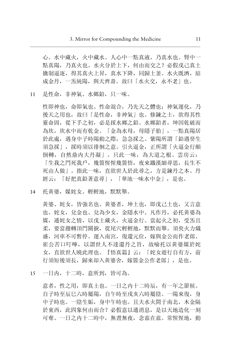心。水中藏火, 火中藏水。人心中一點真液, 乃真水也。腎中一 點真陽,乃真火也。水火分於上下,何由而交之?必假戊己真土 擒制逼逐, 得其真火上昇, 真水下降, 同歸十釜。水火既濟, 結 成金丹, 一炁純陽, 與天齊壽。故曰「水火交, 永不老」也。

11 是性命, 非神氣。水鄉鉛, 只一味。

性即神也, 命即氣也。性命混合, 乃先天之體也; 神氣運化, 乃 後天之用也, 故曰「是性命, 非神氣」也。修鍊之士, 欲得其性 靈命固, 從下手之初, 必是採水鄉之鉛。水鄉鉛者, 坤因乾破而 為坎,坎水中而有乾金。「金為水母,母隱子胎」,一點真陽居 於此處, 遇身中子時陽動之際, 急急採之。紫陽所謂「鉛遇癸生 須急採」, 採時須以徘徊之意。引火逼金, 正所謂「火逼金行顛 倒轉, 自然鼎内大丹凝」。只此一味, 為大道之根。雲房云: 「生我之門死我戶,幾箇惺惺幾箇悟,夜來鐵漢細尋思,長生不 死由人做」。指此一味, 直欲世人於此尋之, 方是鍊丹之本。丹 經云: 「好把真鉛著意尋」, 「華池一味水中金」, 是也。

14 托黄婆, 媒姹女。輕輕地, 默默舉。

黄婆、姹女, 皆強名也。黄婆者, 坤十也, 即戊己十也, 又言意 也。姹女, 兌金也。兌為少女, 金隱水中。凡作丹, 必托黃婆為 媒,通姹女之情,以戊土藏火,火逼金行。當起火之初,受炁且 柔,要當撥轉頂門關捩,從尾穴輕輕地,默默而舉。須臾火力熾 盛,河車不可暫停。運入南宮,復還元位,嫁與金公而作老郎。 崔公苦口叮嚀, 以謂世人不達還丹之旨, 故喻托以黄婆媒於姹 女, 直欲世人曉此理也。『悟真篇』云: 「姹女遊行自有方, 前 行須短後須長, 歸來却入黃婆舍, 嫁箇金公作老郎|, 是也。

15 一日内, 十二時, 意所到, 皆可為。

意者, 性之用, 即真土也。一日之内十二時辰, 有一年之節候。 自子時至辰巳六時屬陽, 自午時至戌亥六時屬陰。一陽來復, 身 中子時也。一陰生姤, 身中午時也。且夫水火間于南北, 木金隔 於東西, 此四象何由而合? 必假意以通消息, 是以天地造化一刻 可奪。一日之内十二時中, 無書無夜, 念兹在兹。常惺惺地, 動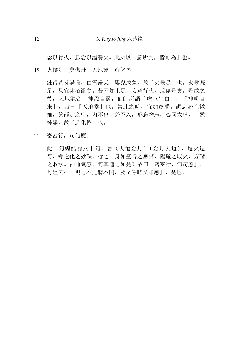念以行火,息念以溫養火。此所以「意所到,皆可為」也。

19 火候足,莫傷丹。天地靈,造化慳。

鍊得黄芽滿鼎,白雪漫天,嬰兒成象,故「火候足」也。火候既 足,只宜沐浴溫養。若不知止足,妄意行火,反傷丹矣。丹成之 後, 天地混合, 神炁自靈, 仙師所謂「虛室生白」, 「神明自 來」,故曰「天地靈」也。當此之時,宜加寶愛。調息務在微 細, 於靜定之中, 内不出, 外不入, 形忘物忘, 心同太虛, 一炁 純陽,故「造化慳」也。

21 密密行,句句應。

此二句總結前八十句,言(大道金丹)〔金丹大道〕,進火退 符,奪造化之妙訣。行之一身如空谷之應聲,陽燧之取火,方諸 之取水。神通氣感,何其速之如是?故曰「密密行,句句應」。 丹經云: 「視之不見聽不聞, 及至呼時又却應」, 是也。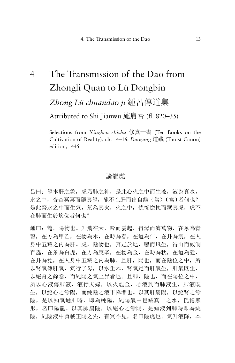# The Transmission of the Dao from  $\overline{4}$ Zhongli Quan to Lü Dongbin

Zhong Lü chuandao ii 鍾呂傳道集

Attributed to Shi Jianwu 施肩吾 (fl. 820-35)

Selections from Xiuzhen shishu 修真十書 (Ten Books on the Cultivation of Reality), ch. 14–16. Daozang 道藏 (Taoist Canon) edition, 1445.

# 論龍虎

吕曰: 龍本肝之象, 虎乃肺之神, 是此心火之中而生液, 液為真水, 水之中, 杳杳冥冥而隱真龍, 龍不在肝而出自離(當) [宫]者何也? 是此腎水之中而生氣, 氣為真火, 火之中, 恍恍惚惚而藏真虎, 虎不 在肺而生於坎位者何也?

鍾曰: 龍, 陽物也。升飛在天, 吟而雲起, 得澤而濟萬物, 在象為青 龍, 在方為甲乙, 在物為木, 在時為春, 在道為仁, 在卦為震, 在人 身中五藏之内為肝。虎, 陰物也, 奔走於地, 嘯而風生, 得山而威制 百蟲, 在象為白虎, 在方為庚辛, 在物為金, 在時為秋, 在道為義, 在卦為兌, 在人身中五藏之内為肺。且肝, 陽也, 而在陰位之中, 所 以腎氣傳肝氣, 氣行子母, 以水生木, 腎氣足而肝氣生, 肝氣既生, 以絕腎之餘陰,而純陽之氣上昇者也。且肺,陰也,而在陽位之中, 所以心液傳肺液, 液行夫婦, 以火刺金, 心液到而肺液生, 肺液既 生, 以絕心之餘陽, 而純陰之液下降者也。以其肝屬陽, 以絕腎之餘 陰, 是以知氣過肝時, 即為純陽, 純陽氣中包藏真一之水, 恍惚無 形,名曰陽龍。以其肺屬陰,以絕心之餘陽,是知液到肺時即為純 陰, 純陰液中負載正陽之炁, 杳冥不見, 名曰陰虎也。氣升液降, 本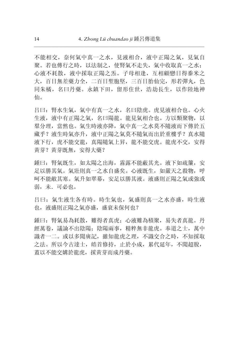不能相交, 奈何氣中真一之水, 見液相合, 液中正陽之氣, 見氣自 聚。若也傳行之時, 以法制之, 使腎氣不走失, 氣中收取真一之水: 心液不耗散, 液中採取正陽之炁。子母相逢, 互相顧戀日得黍米之 大,百日無差藥力全,二百日聖胞堅,三百日胎仙完,形若彈丸,色 同朱橘, 名曰丹藥。永鎮下田, 留形住世, 浩劫長生, 以作陸地神 仙。

吕曰: 腎水生氣, 氣中有真一之水, 名曰陰虎。虎見液相合也。心火 生液, 液中有正陽之氣, 名曰陽龍。龍見氣相合也。方以類聚物, 以 羣分理, 當然也。氣生時液亦降, 氣中真一之水莫不隨液而下傳於五 藏乎? 液生時氣亦升, 液中正陽之氣莫不隨氣而出於重樓乎? 真水隨 液下行, 虎不能交龍, 真陽隨氣上昇, 龍不能交虎。龍虎不交, 安得 黄芽?黄芽既無, 安得大藥?

鍾曰: 腎氣既生,如太陽之出海,霧露不能蔽其光。液下如疏簾,安 足以勝其氣。氣壯則真一之水自盛矣。心液既生,如嚴天之殺物,呼 呵不能敵其寒。氣升如翠幕, 安足以勝其液。液盛則正陽之氣或強或 弱,未.可必也。

吕曰: 氣生液生各有時。時生氣也, 氣盛則真一之水亦盛, 時生液 也, 液盛則正陽之氣亦盛, 盛衰未保何也?

鍾曰: 腎氣易為耗散, 難得者真虎; 心液難為積聚, 易失者真龍。丹 經萬卷,議論不出陰陽: 陰陽兩事,精粹無非龍虎。奉道之士,萬中 識者一二。或以多聞廣記,雖知龍虎之理,不識交合之時,不知採取 之法。所以今古達士,皓首修持,止於小成,累代延年,不聞超脫, 蓋以不能交媾於龍虎, 採黃芽而成丹藥。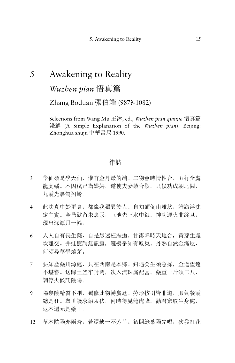# 5 Awakening to Reality

*Wuzhen pian* 悟真篇

Zhang Boduan 張伯端 (987?-1082)

Selections from Wang Mu 王沐, ed., *Wuzhen pian qianjie* 悟真篇 Ϗ) A Simple Explanation of the *Wuzhen pian*). Beijing: Zhonghua shuju 中華書局 1990.

# 律詩

- 3 學仙須是學天仙,惟有金丹最的端。二物會時情性合,五行全處 龍虎蟠。本因戊己為媒娉,遂使夫妻鎮合歡。只候功成朝北闕, 九霞光裹駕翔鸞。
- 4 此法真中妙更真,都緣我獨異於人。自知顛倒由離坎,誰識浮沈 定主賓。金鼎欲留朱裏汞,玉池先下水中銀。神功運火非終旦, 現出深潭月一輪。
- 6 人人自有長生藥,自是愚迷枉擺拋。甘露降時天地合,黃芽生處 坎離交。井蛙應謂無龍窟,籬鷃爭知有鳳巢。丹熟自然金滿屋, 何須尋草學燒茅。
- 7 要知產藥川源處,只在西南是本鄉。鉛遇癸生須急採,金逢望遠 不堪嘗。送歸土釜牢封閉,次入流珠廝配當。藥重一斤須二八, 調停火候託陰陽。
- 9 陽裏陰精質不剛,獨修此物轉羸尪。勞形按引皆非道,服氣餐霞 總是狂。舉世謾求鉛汞伏,何時得見龍虎降。勸君窮取生身處, 返本還元是藥王。
- 12 草木陰陽亦兩齊,若還缺一不芳菲。初開綠葉陽先唱,次發紅花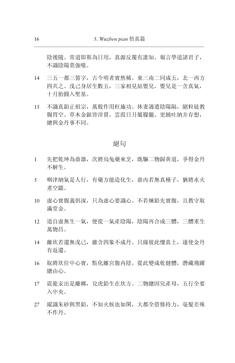陰後隨。常道即斯為日用,真源反覆有誰知。報言學道諸君子, 不識陰陽草強喘。

- 14 三五一都三箇字,古今明者實然稀。東三南二同成五,北一西方 四共之。戊己身居生數五,三家相見結嬰兒。嬰兒是一含真氣, 十月胎圓入聖基。
- 15 不識真鉛正祖宗, 萬般作用枉施功。休妻謾遣陰陽隔, 絕粒徒教 腸胃空。草木金銀皆滓質,雲霞日月屬朦朧。更饒吐納并存想, 總與金丹事不同。

### 紹句

- 1 先把乾坤為鼎器,次將烏兔藥來享,既驅二物歸黃道,爭得金丹 不解生。
- 5 咽津納氣是人行, 有藥方能造化生, 鼎内若無真種子, 猶將水火 煮空鐺。
- 10 虚心實腹義俱深, 只為虛心要識心。不若煉鉛先實腹, 且教守取 滿堂金。
- 12 道自虚無生一氣, 便從一氣產陰陽, 陰陽再合成三體, 三體重生 萬物昌。
- 14 離坎若還無戊己,雖含四象不成丹。只緣彼此懷真土,遂使金丹 有返還。
- 16 取將坎位中心實,點化離宮腹内陰。從此變成乾健體,潛藏飛躍 總由心。
- 17 震龍汞出是離鄉,兌虎鉛生在坎方。二物總因兒產母,五行全要 入中央。
- 27 縱識朱砂與黑鉛, 不知火候也如閑, 大都全借修持力, 毫髮差殊 不作丹。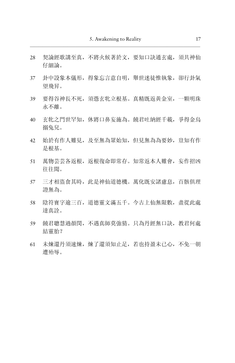- 28 契論經歌講至真, 不將火候著於文, 要知口訣通玄處, 須共神仙 仔細論。
- 37 卦中設象本儀形,得象忘言意自明,舉世迷徒惟執象,卻行卦氣 望飛昇。
- 39 要得谷神長不死,須憑玄牝立根基。真精既返黃金室,一顆明珠 永不離。
- 40 玄牝之門世罕知,休將口鼻妄施為。饒君吐納經千載,爭得金烏 搦兔兒。
- 42 始於有作人難見, 及至無為眾始知, 但見無為為要妙, 豈知有作 是根基。
- 51 萬物芸芸各返根,返根復命即常存。知常返本人難會,妄作招凶 往往聞。
- 57 三才相盜食其時, 此是神仙道德機。萬化既安諸慮息, 百骸俱理 證無為。
- 58 陰符寶字逾三百,道德靈文滿五千。今古上仙無限數,盡從此處 達真詮。
- 59 饒君聰慧過顏閔,不遇真師莫強猜。只為丹經無口訣,教君何處 結靈胎?
- 61 未煉還丹須速煉, 煉了還須知止足, 若也持盈未已心, 不免一朝 遭殆辱。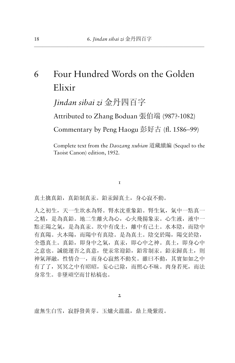6 Four Hundred Words on the Golden Elixir *Jindan sibai zi* 金丹四百字

Attributed to Zhang Boduan 張伯端 (987?-1082)

Commentary by Peng Haogu 彭好古 (fl. 1586–99)

Complete text from the *Daozang xubian* 道藏續編 (Sequel to the Taoist Canon) edition, 1952.

 $\mathbf I$ 

真土擒真鉛,真鉛制真汞。鉛汞歸真土,身心寂不動。

人之初生,天一生坎水為腎。腎水沈重象鉛。腎生氣,氣中一點真一 之精,是為真鉛。地二生離火為心,心火飛揚象汞。心生液,液中一 點正陽之氣,是為真汞。坎中有戊土,離中有己土。水本陰,而陰中 有真陽。火本陽,而陽中有真陰。是為真土。陰交於陽,陽交於陰, 全憑真土。真鉛,即身中之氣,真永,即心中之神。真土,即身心中 之意也。誠能運吾之真意,使汞常迎鉛,鉛常制汞。鉛汞歸真土,則 神氣渾融,性情合一,而身心寂然不動矣。雖曰不動,其實如如之中 有了了,冥冥之中有昭昭,妄心已除,而照心不昧。肉身若死,而法 身常生。非墜頑空而甘枯槁也。

虚無生白雪,寂靜發黃芽。玉爐火溫溫,鼎上飛紫霞。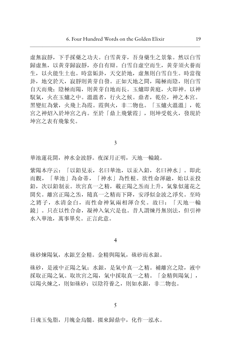虚無寂靜, 下手採藥之功夫。白雪黃芽, 吾身藥生之景象。然以白雪 歸虛無, 以黄芽歸寂靜, 亦自有辯。白雪自虛空而生, 黄芽須火養而 生, 以火能生土也。時當姤卦, 天交於地, 虛無則白雪自生。時當復 卦, 地交於天, 寂靜則黃芽自發。正如天地之間, 陽極而陰, 則白雪 自天而飛; 陰極而陽, 則黃芽自地而長。玉爐即黃庭, 火即神。以神 馭氣,火在玉爐之中。溫溫者,行火之候。鼎者,乾位,神之本宮。 黑變紅為紫, 火飛上為霞。霞與火, 非二物也。「玉爐火溫溫」, 乾 宮之神炤入於坤宮之内。至於「鼎上飛紫霞」, 則坤受乾火, 發現於 坤宮之表有飛象矣。

3

華池蓮花開, 神水金波靜。夜深月正明, 天地一輪鏡。

紫陽本序云: 「以鉛見汞, 名曰華池, 以汞入鉛, 名曰神水」。即此 而觀, 「華池」為命蒂, 「神水」為性根。欲性命渾融, 始以汞投 鉛, 次以鉛制汞。坎宫真一之精, 載正陽之炁而上升, 氣象似蓮花之 開矣。離宮正陽之炁, 隨真一之精而下降, 安淨似金波之淨矣。至時 之將子, 水清金白, 而性命神氣兩相渾合矣。故曰: 「天地一輪 鏡」。只在以性合命,凝神入氣穴是也。昔人謂煉丹無別法,但引神 水入華池, 萬事畢矣。正言此意。

4

硃砂煉陽氣,水銀烹金精。金精與陽氣,硃砂而水銀。

硃砂,是液中正陽之氣;水銀,是氣中真一之精。補離宮之陰,液中 採取正陽之氣。取坎宮之陽,氣中採取真一之精。「金精與陽氣」, 以陽火煉之, 則如硃砂: 以陰符養之, 則如水銀, 非二物也。

日魂玉兔脂, 月魄金烏髓。掇來歸鼎中, 化作一泓水。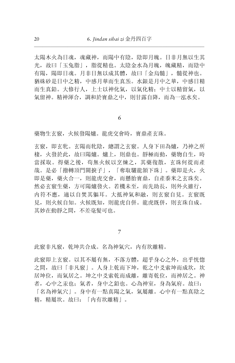太陽木火為日魂, 魂藏神, 而陽中有陰, 陰即月魄。日非月無以生其 光,故曰「玉兔脂」,脂從精也。太陰金水為月魄,魄藏精,而陰中 有陽, 陽即日魂。月非日無以成其體, 故曰「金烏髓」, 髓從神也。 猶硃砂是日中之精,中感月華而生真炁。水銀是月中之華,中感日精 而生真鉛。大修行人,上士以神化氣,以氣化精;中士以精留氣,以 氣留神。精神渾合,調和於寶鼎之中,則甘露自降,而為一泓水矣。

6

藥物生玄竅,火候發陽爐。龍虎交會時,寶鼎產玄珠。

玄竅, 即玄牝。玄陽而牝陰, 總謂之玄竅。人身下田為爐, 乃神之所 棲, 火發於此, 故曰陽爐。爐上, 則鼎也。靜極而動, 藥物自生, 時 當採取。得藥之後, 苟無火候以烹煉之, 其藥復散, 玄珠何從而產 哉。是必「撥轉頂門關捩子」,「奪取驪龍頷下珠」。藥即是火,火 即是藥, 藥火合一, 則龍虎交會, 而懸胎寶鼎, 自產黍米之玄珠矣。 然必玄竅生藥, 方可陽爐發火。若機未至, 而先助長, 則外火雖行, 内符不應, 適以自焚其軀耳。大抵神氣和融, 則玄竅自見。玄竅既 見, 則火候自知。火候既知, 則龍虎自併。龍虎既併, 則玄珠自成。 其妙在動靜之間, 不差毫髮可也。

7

此竅非凡竅,乾坤共合成。名為神氣穴,内有坎離精。

此竅即上玄竅。以其不屬有無,不落方體,超乎身心之外,出乎恍惚 之間,故曰「非凡竅」。人身上乾而下坤,乾之中爻索坤而成坎,坎 居坤位,而氣居之。坤之中爻索乾而成離,離寄乾位,而神居之。神 者,心中之汞也;氣者,身中之鉛也。心為神室,身為氣府。故曰: 「名為神氣穴」。身中有一點真陽之氣,氣屬離。心中有一點真陰之 精,精屬坎。故曰: 「内有坎離精」。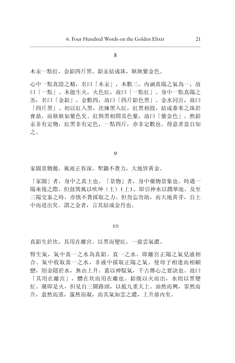木汞一點紅, 金鉛四斤黑。鉛汞結成珠, 耿耿紫金色。

心中一點真陰之精, 名曰「木汞」, 木數三。内涵真陽之氣為一, 故 曰「一點」。木能生火, 火色紅, 故曰「一點紅」。身中一點真陽之 炁, 名曰「金鉛」, 金數四, 故曰「四斤鉛色黑」。金水同宮, 故曰 「四斤黑」。初以紅入黑,次煉黑入紅,紅黑相投,結成黍米之珠於 寶鼎,而耿耿如紫色矣。紅與黑相間其色紫,故曰「紫金色」。然鉛 汞非有定物, 紅黑非有定色, 一點四斤, 亦非定數也。得意者當自知 之。

9

家園景物麗, 風雨正春深。犁鋤不費力, 大地皆黄金。

「家園」者, 身中之真土也。「景物」者, 身中藥物景象也。時遇一 陽來復之際, 但鼓巽風以吹坤(土) [上], 即引神水以潤華池。及至 三陽交泰之時, 亦慎不費採取之力。但勿忘勿助, 而大地黄芽, 自土 中而迸出矣。謂之金者, 言其結成金丹也。

IO

真鉛生於坎, 其用在離宮。以黑而變紅, 一鼎雲氣濃。

腎生氣,氣中真一之水為真鉛。真一之水,即離宮正陽之氣見液相 合。氣中收取真一之水, 非液中採取正陽之氣。使母子相逢而相顧 戀,則金隱於水,無由上升。蓋以神馭氣,千古傳心之要訣也。故曰 「其用在離宮」, 體在坎而用在離也。鉛既以火而出, 水則以黑變 紅。藥即是火,但見自三關路頭,以抵九重天上。油然而興,霏然而 升, 翕然而蒸, 靄然而凝, 而其氣如雲之濃, 上升鼎内矣。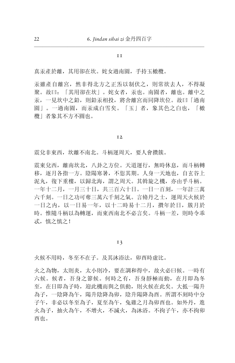真汞產於離,其用卻在坎。姹女過南園,手持玉橄欖。

汞雖產自離宮, 然非得北方之正炁以制伏之, 則常欲去人, 不得凝 聚。故曰: 「其用卻在坎」。姹女者, 汞也。南園者, 離也。離中之 汞, 一見坎中之鉛, 則鉛汞相投, 將舍離宮而同降坎位。故曰「過南 園」。一過南園,而汞成白雪矣。「玉」者, 象其色之白也, 「橄 欖」者象其不方不圓也。

#### 12

震兌非東西,坎離不南北。斗柄運周天,要人會攢簇。

震東兌西, 離南坎北, 八卦之方位。天道運行, 無時休息, 而斗柄轉 移,逐月各指一方。陰陽寒暑,不愆其期。人身一天地也,自玄谷上 泥丸,復下重樓,以歸北海,謂之周天。其斡旋之機,亦由乎斗柄。 一年十二月,一月三十日,共三百六十日。一日一百刻,一年計三萬 六千刻。一日之功可奪三萬六千刻之氣。言脩丹之士,運周天火候於 一日之内, 以一日易一年, 以十二時易十二月, 攢年於日, 簇月於 時。惟隨斗柄以為轉運,而東西南北不必言矣。斗柄一差,則時令乖 忒, 慎之慎之!

13

火候不用時,冬至不在子。及其沐浴法,卯酉時虛比。

火之為物,太則炎,太小則冷,要在調和得中,故火必曰候。一時有 六候。候者,吾身之節候。何時之有,吾身靜極而動,在月即為冬 至,在日即為子時,迎此機而與之俱動,則火候在此矣。大抵一陽升 為子,一陰降為午,陽升陰降為卯,陰升陽降為酉。所謂不刻時中分 子午,非必以冬至為子,夏至為午,兔雞之月為卯酉也。如外丹,進 火為子,抽火為午,不增火,不減火,為沐浴。不拘子午,亦不拘卯 酉也。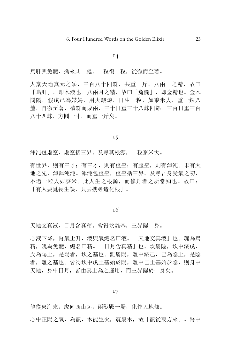烏肝與兔髓, 擒來共一處。一粒復一粒, 從微而至著。

人稟天地真元之炁, 三百八十四銖, 共重一斤。八兩日之精, 故曰 「烏肝」, 即木液也。八兩月之精, 故曰「兔髓」, 即金精也。金木 間隔, 假戊己為媒娉, 用火鍛煉, 日生一粒, 如黍米大, 重一銖八 釐, 自微至著, 積銖而成兩, 三十日重三十八銖四絲。三百日重三百 八十四銖,方圓一寸,而重一斤矣。

### $I\bar{5}$

渾沌句虛空, 虚空括三界。及尋其根源, 一粒黍米大。

有世界, 則有三才; 有三才, 則有虚空; 有虚空, 則有渾沌。未有天 地之先,渾渾沌沌。渾沌包虛空,虚空括三界。及尋吾身受氣之初, 不過一粒大如黍米。此人生之根源,而修丹者之所當知也。故曰: 「有人要覓長生訣, 只去搜尋造化根」。

#### 16

天地交真液, 日月含真精。會得坎離基, 三界歸一身。

心液下降,腎氣上升,液與氣總名曰液。「天地交真液」也。魂為烏 精, 魄為兔髓, 總名曰精。「日月含真精」也。坎屬陰, 坎中藏戊, 戊為陽土, 是陽者, 坎之基也。離屬陽, 離中藏己, 己為陰土, 是陰 者, 離之基也。會得坎中戊土基始於陽, 離中己土基始於陰, 則身中 天地,身中日月,皆由真土為之運用,而三界歸於一身矣。

#### $17$

龍從東海來, 虎向西山起。兩獸戰一場, 化作天地髓。

心中正陽之氣, 為龍, 木能生火, 震屬木, 故「龍從東方來」。腎中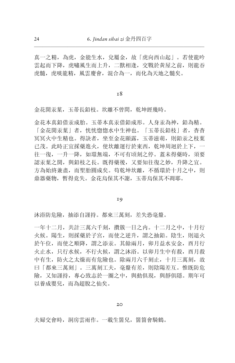真一之精, 為虎, 金能生水, 兌屬金, 故「虎向西山起」。若使龍吟 雲起而下降, 虎嘯風生而上升, 二獸相逢, 交戰於黃屋之前, 則龍吞 虎髓, 虎啖龍精, 風雲慶會, 混合為一, 而化為天地之髓矣。

#### 18

金花開汞葉,玉蒂長鉛枝。坎離不曾間,乾坤經幾時。

金花本真銀借汞成胎。玉蒂本真汞借鉛成形。人身汞為神, 鉛為精。 「金花開汞葉」者, 恍恍惚惚水中生神也。「玉蒂長鉛枝」者, 杳杳 冥冥火中生精也。得訣者,坐至金花顯露,玉蒂滋萌,則鉛汞之枝葉 已茂。此時正宜採藥進火, 使坎離運行於東西, 乾坤周迴於上下, 一 往一復,一升一降,如環無端,不可有頃刻之停。蓋未得藥時,須要 認汞葉之開,與鉛枝之長。既得藥後,又要知往復之妙,升降之宜。 方為始終兼盡, 而聖胎圓成矣。苟乾坤坎離, 不循環於十月之中, 則 鼎器藥物, 暫得竟失。金花烏保其不謝, 玉蒂烏保其不凋耶。

### 19

沐浴防危險,抽添自謹持。都來三萬刻,差失恐毫釐。

一年十二月,共計三萬六千刻,攢簇一日之内。十二月之中,十月行 火候。陽生,則採藥於子宮,而使之逆升,謂之抽鉛。陰生,則退火 於午位,而使之順降,謂之添汞。其餘兩月,卯月益水安金,酉月行 火止水,只行水候,不行火候,謂之沐浴。以卯月生中有殺,酉月殺 中有生,防火之太燥而有危險也。除兩月六千刻止,十月三萬刻,故 曰「都來三萬刻」。三萬刻工夫,毫釐有差,則陰陽差互。惟既防危 險,又知謹持,專心致志於一圈之中,與動俱現,與靜俱隱。期年可 以養成嬰兒,而為超脫之仙矣。

#### 20

夫婦交會時,洞房雲雨作。一載生箇兒,箇箇會騎鶴。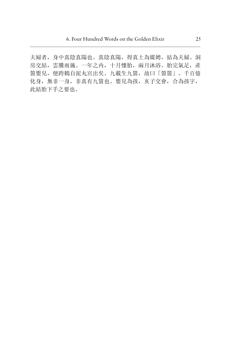夫婦者, 身中真陰真陽也。真陰真陽, 得真土為媒娉, 結為夫婦。洞 房交結, 雲騰雨施。一年之内, 十月懷胎, 兩月沐浴。胎完氣足, 產 简嬰兒, 便跨鶴自泥丸宮出矣。九載生九箇, 故曰「箇箇」。千百億 化身, 無非一身, 非真有九箇也。嬰兒為孩, 亥子交會, 合為孩字, 此結胎下手之要也。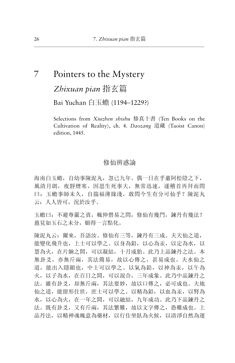# 7 Pointers to the Mystery

Zhixuan pian 指玄篇

Bai Yuchan 白玉蟾 (1194-1229?)

Selections from Xiuzhen shishu 修真十書 (Ten Books on the Cultivation of Reality), ch. 4. Daozang 道藏 (Taoist Canon) edition, 1445.

# 修仙辨惑論

海南白玉蟾, 自幼事陳泥丸, 忽已九年。偶一日在乎巖阿松陰之下, 風清月朗, 夜靜煙寒, 因思生死事大, 無常迅速, 遂稽首再拜而問 曰: 玉蟾事師未久, 自揣福薄緣淺, 敢問今生有分可仙乎? 陳泥丸 云: 人人皆可, 況於汝乎。

玉蟾曰: 不避尊嚴之責, 輒伸僣易之間, 修仙有幾門, 鍊丹有幾法? 愚見如玉石之未分, 願得一言點化。

陳泥丸云: 爾來, 吾語汝。修仙有三等, 鍊丹有三成。夫天仙之道, 能變化飛升也, 上士可以學之。以身為鉛, 以心為汞, 以定為水, 以 慧為火, 在片餉之間, 可以凝結, 十月成胎。此乃上品鍊丹之法。本 無卦爻, 亦無斤兩, 其法簡易, 故以心傳之, 其易成也。夫水仙之 道, 能出入隱顯也, 中士可以學之。以氣為鉛, 以神為汞, 以午為 火,以子為水,在百日之間,可以混合,三年成象。此乃中品鍊丹之 法。雖有卦爻, 却無斤兩, 其法要妙, 故以口傳之, 必可成也。夫地 仙之道, 能留形住世, 庶士可以學之。以精為鉛, 以血為汞, 以腎為 水,以心為火, 在一年之間, 可以融結, 九年成功。此乃下品鍊丹之 法。既有卦爻, 又有斤兩, 其法繁難, 故以文字傳之, 恐難成也。上 品丹法,以精神魂魄意為藥材,以行住坐臥為火候,以清淨自然為運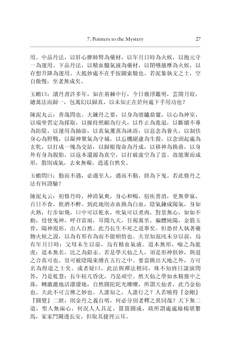用。中品丹法,以肝心脾肺腎為藥材,以年月日時為火候,以抱元守 一為運用。下品丹法,以精血髓氣液為藥材,以閉嚥搐摩為火候,以 存想升降為運用。大抵妙處不在乎按圖索駿也。若泥象執文之士, 空 自傲慢, 至老無成矣。

玉蟾曰: 讀丹書許多年, 如在荊棘中行, 今日塵淨鑑明, 雲開月皎, 總萬法而歸一, 包萬幻以歸真, 以未知正在於何處下手用功也?

陳泥丸云: 善哉問也。夫鍊丹之要, 以身為壇鑪鼎竈, 以心為神室, 以端坐習定為採取, 以操持照顧為行火, 以作止為進退, 以斷續不專 為防隄,以運用為抽添,以真氣薰蒸為沐浴,以息念為養火,以制伏 身心為野戰,以凝神聚氣為守城,以忘機絕慮為生殺,以念頭起處為 玄牝,以打成一塊為交結,以歸根復命為丹成,以移神為換鼎,以身 外有身為脫胎, 以返本還源為真空, 以打破虛空為了當。故能聚而成 形, 散則成氣, 去來無礙, 逍遙自然矣。

玉蟾間曰: 勒而不遇, 必遇至人, 遇而不勤, 終為下鬼。若此修丹之 法有何證驗?

陳泥丸云: 初修丹時, 神清氣爽, 身心和暢, 宿疾普消, 更無夢寐, 百日不食, 飲酒不醉。到此地則赤血換為白血, 陰氣鍊成陽氣, 身如 火熱, 行步如飛, 口中可以乾水, 吹氣可以煮肉, 對景無心, 如如不 動, 役使鬼神, 呼召雷雨, 耳聞九天, 目視萬里, 徧體純陽, 金筋玉 骨, 陽神現形, 出入自然。此乃長生不死之道畢矣。但恐世人執著藥 物火候之說, 以為有形有為而不能頓悟也。夫豈知混沌未分以前, 烏 有年月日時: 父母未生以前, 烏有精血氣液。道本無形, 喻之為龍 虎: 道本無名, 比之為鉛汞。若是學天仙之人, 須是形神俱妙, 與道 之合真可也。豈可被陰陽束縛在五行之中。要當跳出天地之外, 方可 名為得道之士矣。或者疑曰, 此法與禪法稍同, 殊不知終日談演問 答,乃是乾慧: 長年枯兀昏沈, 乃是頑空。然天仙之學如水精盤中之 珠, 轉漉漉地活潑潑地, 自然圓陀陀光皪皪, 所謂天仙者, 此乃金仙 也。夫此不可言傳之妙也。人誰知之, 人誰行之? 人若曉得『金剛』 『圓覺』二經, 則金丹之義自明, 何必分別老釋之異同哉? 天下無二 道, 聖人無兩心, 何況人人具足, 箇箇圓成, 政所謂處處綠楊堪繫 馬, 家家門閫诱長安, 但取其捷徑云耳。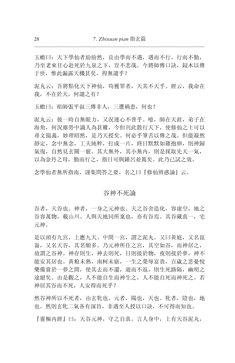玉蟾曰: 天下學仙者紛紛然, 良由學而不遇, 遇而不行, 行而不勤, 乃至老來甘心赴死於九泉之下, 豈不悲哉。今將師傳口訣, 鋟木以傳 于世,惟此漏露天機甚矣,得無譴乎?

泥丸云: 吾將點化天下神仙, 苟獲罪者, 天其不天乎。經云, 我命在 我,不在於天,何譴之有?

玉蟾曰: 祖師張平叔三傳非人, 三遭禍患, 何也?

泥丸云: 彼一時自無眼力, 又況運心不普平。噫, 師在天涯, 弟子在 海角, 何況塵勞中識人為甚難, 今但刊此散行天下, 使修仙之十可以 尋文揣義, 妙理昭然, 是乃天授矣。何必乎筆舌以傳之哉。但能凝然 靜定, 念中無念, 工夫純粹, 打成一片, 終日默默如雞抱卵, 則神歸 氣復, 自然見玄關一竅。其大無外, 其小無内, 則是採取先天一氣, 以為金丹之母, 勤而行之, 指日可與鍾呂並駕矣。此乃已試之效。

念學仙者無所指南, 謹集問答之要, 名之曰『修仙辨惑論』云。

### 谷神不死論

谷者,天谷也。神者,一身之元神也。天之谷舍造化,容虚空,地之 谷容萬物, 載山川。人與天地同所稟也, 亦有谷焉。其谷藏真一, 宅 元神。

是以頭有九宮, 上應九天。中間一宮, 謂之泥丸。又曰黃庭, 又名崑 崙, 又名天谷, 其名頗多。乃元神所住之宮, 其空如谷, 而神居之, 故謂之谷神。神存則生, 神去則死, 日則接於物, 夜則接於夢, 神不 能安其居也。黃粮未熟, 南柯未寤, 一生之榮辱富貴, 百歳之悲憂悅 樂備嘗於一夢之間, 使其夫而不還, 游而不返, 則生死路隔, 幽明之 途絕矣。由是觀之, 人不能自生而神生之, 人不能自死而神死之。若 神居其谷而不死, 人安得而死乎?

然谷神所以不死者, 由玄牝也。元者, 陽也, 天也。牝者, 陰也, 地 也。然則玄牝二氣各有深旨, 非遇至人授以口訣, 不可得而知也。

『靈樞内經』曰: 天谷元神, 守之自真。言人身中, 上有天谷泥丸,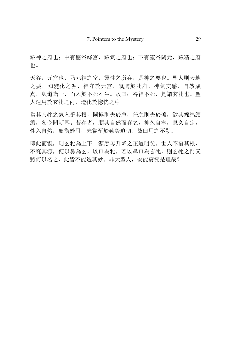藏神之府也;中有應谷絳宮,藏氣之府也;下有靈谷關元,藏精之府 也。

天谷,元宫也,乃元神之室, 靈性之所存, 是神之要也。聖人則天地 之要, 知變化之源, 神守於元宮, 氣騰於牝府, 神氣交感, 自然成 真, 與道為一, 而入於不死不生。故曰: 谷神不死, 是謂玄牝也。聖 人運用於玄牝之内, 造化於惚恍之中。

當其玄牝之氣入乎其根, 閑極則失於急, 任之則失於蕩, 欲其綿綿續 續, 勿令間斷耳。若存者, 順其自然而存之, 神久自寧, 息久自定, 性入自然, 無為妙用, 未嘗至於勤勞迫切。故曰用之不勤。

即此而觀,則玄牝為上下二源炁母升降之正道明矣。世人不窮其根, 不究其源, 便以鼻為玄, 以口為牝。若以鼻口為玄牝, 則玄牝之門又 將何以名之, 此皆不能造其妙。非大聖人, 安能窮究是理哉?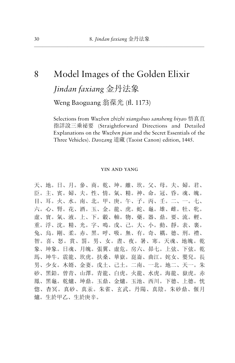# Model Images of the Golden Elixir Jindan faxiang 金丹法象

Weng Baoguang 翁葆光 (fl. 1173)

Selections from Wuzhen zhizhi xiangshuo sansheng biyao 悟真直 指詳說三乘祕要 (Straightforward Directions and Detailed Explanations on the Wuzhen pian and the Secret Essentials of the Three Vehicles). *Daozang* 道藏 (Taoist Canon) edition, 1445.

### YIN AND YANG

天、地。日、月。參、商。乾、坤。離、坎。父、母。夫、婦。君、 臣。主、賓。婦、夫。性、情。氣、精。神、命。冠、昏。魂、魄。 目、耳。火、水。南、北。甲、庚。午、子。丙、壬。二、一。七、 六。心、腎。花、酒。玉、金。龍、虎。蛇、龜。雄、雌。牡、牝。 虚、實。氣、液。上、下。轂、軸。物、藥。器、鼎。要、流。 輕、 重。浮、沈。精、光。字、鳴。戊、己。大、小。動、靜。表、裏。 兔、烏。剛、柔。赤、黑。呼、吸。無、有。奇、耦。德、刑。禮、 智。喜、怒。賞、罰。男、女。晝、夜。暑、寒。天魂、地魄。乾 象、坤象。日魂、月魄。張翼、虛危。房六、昴七。上弦、下弦。乾 馬、坤牛。震龍、坎虎。扶桑、華嶽。崑崙、曲江。姹女、嬰兒。長 男、少女。木婿、金妻。戊土、己土。二南、一北。地二、天一。朱 砂、黑鉛。曾青、山澤。青龍、白虎。火龍、水虎。海龍、嶽虎。赤 鳳、黑龜。乾爐、坤鼎。玉鼎、金爐。玉池、西川。下德、上德。恍 惚、杳冥。真砂、真汞。朱雀、玄武。丹陽、真陰。朱砂鼎、偃月 爐。生於甲乙、生於庚辛。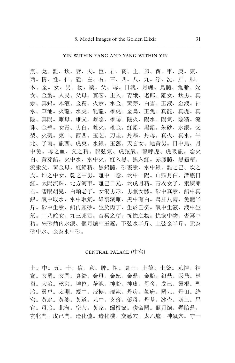### YIN WITHIN YANG AND YANG WITHIN YIN

震、兌。離、坎。妻、夫。臣、君。賓、主。卯、酉。甲、庚。東、 西。情、性。仁、義。左、右。三、四。八、九。浮、沈。肝、肺。 木、金。女、男。物、藥。父、母。日魂、月魄。烏髓、兔脂。姹 女、金翁。人民、父母。賓客、主人。青娥、老郎。離女、坎男。真 汞、真鉛。木液、金精。火汞、水金。黄芽、白雪。玉液、金液。神 水、華池。火龍、水虎。牝龍、雄虎。金烏、玉兔。真龍、真虎。真 陰、真陽。雌母、雄父。雌陰、雄陽。陰火、陽水。陽氣、陰精。流 珠、金華。女青、男白。雌火、雄金。紅鉛、黑鉛。朱砂、水銀。交 梨、火棗。東二、西四。玉芝、刀圭。丹基、丹母。真火、真水。午 北、子南。龍西、虎東。水銀、玉蕊。天玄女、地黃男。日中烏、月 中兔。母之血、父之精。龍弦氣、虎弦氣。龍呼虎、虎吸龍。陰火 白、黄芽鉛。火中水、水中火。紅入黑、黑入紅。赤鳳髓、黑龜精。 流汞父、黄金母。紅鉛精、黑鉛髓。砂裏汞、水中銀。離之己、坎之 戊。坤之中女、乾之中男。離中一陰、坎中一陽。山頭月白、潭底日 紅。太陽流珠、北方河車。離己日光、坎戊月精。青衣女子、素練郎 君。碧眼胡兒、白頭老子。女混男形、男兼女體。砂中真汞、鉛中真 銀。氣中取水、水中取氣。雄裏藏雌、黑中有白。烏肝八兩、兔髓半 斤。砂中生汞、鉛内產砂。生於丙丁、生於千癸。氣中生液、液中生 氣。二八姹女、九三郎君。杳冥之精、恍惚之物。恍惚中物、杳冥中 精。朱砂鼎内水銀、偃月爐中玉蕊。下弦水半斤、上弦金半斤。汞為 砂中水、金為水中砂。

### CENTRAL PALACE (中宮)

土。中。五。十。信。意。脾。祖。真土。土德。土釜。元神。神 寶。玄關。玄門。真鉛。金母。金妃。金鼎。金胎。鉛鼎。汞鼎。崑 崙。大治。乾宮。坤位。華池。神胎。神廬。母舍。戊己。靈根。聖 胎。靈戶。太淵。規中。辰極。混沌。丹房。氣府。關元。丹田。絳 宮。黃庭。黃婆。黃道。元中。玄竅。藥母。丹基。冰壺。函三。星 官。母胎。北海。空玄。黃家。歸根竅。復命關。偃月爐。懸胎鼎。 玄牝門。戊己門。造化爐。造化機。交感穴。太乙爐。神氣穴。守一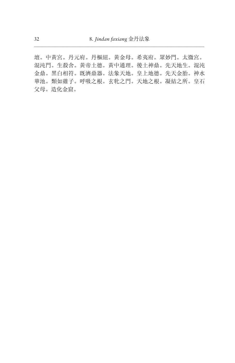壇。中黄宮。丹元府。丹樞紐。黄金母。希夷府。眾妙門。太微宮。 混沌門。生殺舍。黃帝土德。黃中通理。後土神鼎。先天地生。混沌 金鼎。黑白相符。既濟鼎器。法象天地。皇上地德。先天金胎。神水 華池。類如雞子。呼吸之根。玄牝之門。天地之根。凝結之所。皇石 父母。造化金窟。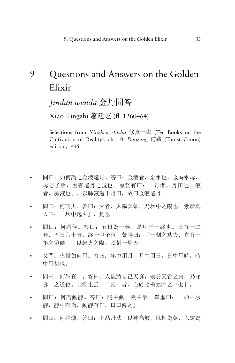# 9 Questions and Answers on the Golden Elixir

*Jindan wenda* 金丹間答

Xiao Tingzhi ֙ȣն (fl. 1260–64)

Selections from *Xiuzhen shishu* 修真十書 (Ten Books on the Cultivation of Reality), ch. 10. *Daozang* 道藏 (Taoist Canon) edition, 1445.

- 問曰:如何謂之金液還丹。答曰:金液者,金水也。金為水母, 母隱子胎,因有還丹之號也。前賢有曰: 「丹者,丹田也。液 者,肺液也」。以肺液還于丹田,故曰金液還丹。
- 問曰:何謂火。答曰:火者,太陽真氣,乃坎中之陽也。紫清真 人曰: 「坎中起火」, 是也。
- 問曰: 何謂候。答曰: 五日為一候, 是甲子一終也。日有十二 時,五日六十時,終一甲子也。紫陽曰: 「一刻之功夫,自有一 年之節候」,以起火之際,頃刻一周天。
- 又問: 火候如何用。答曰: 年中用月,月中用日,日中用時,時 中用刻也。
- 問曰:何謂真一。答曰:人能將自己天真,安於天谷之内,乃守 真一之道也。金洞主云:「真一者,在於北極太淵之中也」。
- 問曰: 何謂動靜。答曰: 陽主動, 陰主靜。翠虛曰: 「動中求 靜, 靜中有為, 動靜有作, 口口傳之」。
- 問曰:何謂爐。答曰:上品丹法,以神為爐,以性為藥,以定為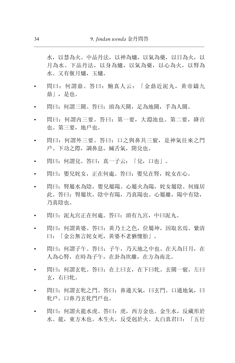水,以慧為火。中品丹法,以神為爐,以氣為藥,以日為火,以 月為水。下品丹法,以身為爐,以氣為藥,以心為火,以腎為 水。又有偃月爐,玉爐。

- 問曰: 何謂鼎。答曰: 鮑真人云: 「金鼎近泥丸,黃帝鑄九 鼎」,是也。
- 問曰:何謂三關。答曰:頭為天關,足為地關,手為人關。
- 問曰: 何謂内三要。答曰: 第一要, 大淵池也。第二要, 絳宮 也。第三要,地戶也。
- 問曰:何謂外三要。答曰:口之與鼻共三竅,是神氣往來之門 户。下功之際,調鼻息,緘舌氣,閉兌也。
- 問曰:何謂兌。答曰:真一子云:「兌,口也」。
- 問曰: 嬰兒姹女, 正在何處。答曰: 嬰兒在腎, 姹女在心。
- 問曰:腎屬水為陰,嬰兒屬陽。心屬火為陽,姹女屬陰。何緣居 此。答曰:腎屬坎,陰中有陽,乃真陽也。心屬離,陽中有陰, 乃真陰也。
- 問曰:泥丸宮正在何處。答曰:頭有九宮,中曰泥丸。
- 問曰: 何謂黃婆。答曰: 黃乃土之色, 位屬坤, 因取名焉。紫清 曰: 「金公無言姹女死, 黃婆不老猶懷胎」。
- 問曰:何謂子午。答曰:子午,乃天地之中也。在天為日月,在 人為心腎, 在時為子午, 在卦為坎離, 在方為南北。
- 問曰:何謂玄牝。答曰:在上曰玄,在下曰牝。玄關一竅,左曰 玄,右曰牝。
- 問曰: 何謂玄牝之門。答曰: 鼻通天氣,曰玄門。口通地氣,曰 牝戶。口鼻乃玄牝門戶也。
- 問曰:何謂火龍水虎。答曰:虎,西方金也。金生水,反藏形於 水。龍,東方木也。木生火,反受剋於火。太白真君曰:「五行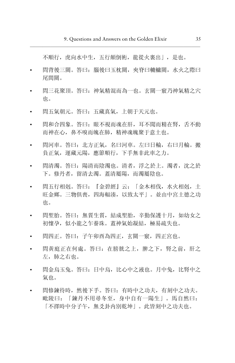不順行, 虎向水中生, 五行顛倒術, 龍從火裏出|, 是也。

- 問背後三關。答曰: 腦後曰玉枕關, 夾脊曰轆轤關, 水火之際曰 尾間關。
- 問三花聚頂。答曰: 神氣精混而為一也。玄關一竅乃神氣精之穴 也。
- 間五氣朝元。答曰: 五藏真氣, 上朝干天元也。
- 問和合四象。答曰: 眼不視而魂在肝, 耳不聞而精在腎, 舌不動  $\bullet$ 而神在心, 鼻不嗅而魄在肺, 精神魂魄聚于意十也。
- 問河車。答曰: 北方正氣, 名曰河車。左曰日輪, 右曰月輪。搬 負正氣, 運藏元陽, 應節順行, 下手無非此車之力。
- 問清濁。答曰: 陽清而陰濁也。清者, 浮之於上。濁者, 沈之於 下。修丹者, 留清夫濁。蓋清屬陽, 而濁屬陰也。
- 問五行相剋。答曰: 『金碧經』云: 「金木相伐, 水火相剋, 土  $\bullet$ 旺金鄉。三物俱喪, 四海輻湊, 以致太平| 。並由中宮土德之功 也。
- 問聖胎。答曰: 無質生質, 結成聖胎, 辛勤保護十月, 如幼女之  $\bullet$ 初懷孕,似小龍之乍養珠。蓋神氣始凝結,極易疏失也。
- 問四正。答曰: 子午卯西為四正, 玄關一竅, 四正宮也。
- 問黃庭正在何處。答曰: 在膀胱之上, 脾之下, 腎之前, 肝之 左, 肺之右也。
- 問金烏玉兔。答曰: 日中烏, 比心中之液也。月中兔, 比腎中之 氣也。
- 問修鍊待時, 然後下手。答曰, 有時中之功夫, 有刻中之功夫。 毗陵曰: 「鍊丹不用尋冬至, 身中自有一陽生」。馬自然曰: 「不擇時中分子午, 無爻卦内別乾坤」。此皆刻中之功夫也。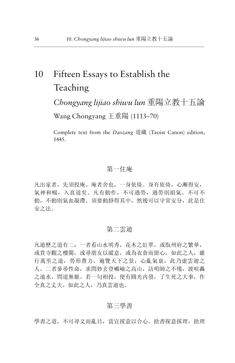# 10 Fifteen Essays to Establish the Teaching

*Chongyang lijiao shiwu lun* 重陽立教十五論 Wang Chongyang 王重陽  $(1113–70)$ 

Complete text from the *Daozang* 道藏 (Taoist Canon) edition, 1445.

# 第一住庵

凡出家者, 先須投庵。庵者舍也, 一身依倚。身有依倚, 心漸得安, 氣神和暢,入真道矣。凡有動作,不可過勞,過勞則損氣。不可不 動, 不動則氣血凝滯。須要動靜得其中, 然後可以守常安分, 此是住 安之法。

# 第二雲遊

凡遊歷之道有二: 一者看山水明秀, 花木之紅翠, 或翫州府之繁華, 或賞寺觀之樓閣,或尋朋友以縱意,或為衣食而留心。如此之人,雖 行萬里之途, 勞形費力, 遍覽天下之景, 心亂氣衰, 此乃虛雲遊之 人。二者參尋性命,求問妙玄登巇嶮之高山,訪明師之不惓,渡喧轟 之遠水,問道無厭。若一句相投,便有圓光内發,了生死之大事,作 全真之丈夫。如此之人,乃真雲遊也。

### 第三學書

學書之道,不可尋文而亂目,當宜採意以合心。捨書探意採理,捨理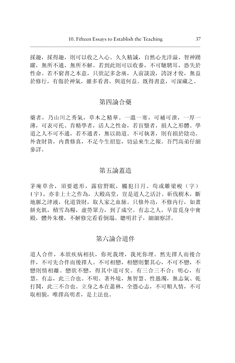採趣, 採得趣, 則可以收之入心。久久精誠, 自然心光洋溢, 智神踴 躍, 無所不通, 無所不解。若到此則可以收養, 不可馳騁耳, 恐失於 性命。若不窮書之本意, 只欲記多念廣, 人前談說, 誇訝才俊, 無益 於修行, 有傷於神氣, 雖多看書, 與道何益。既得書意, 可深藏之。

# 第四論合藥

藥者,乃山川之秀氣,草木之精華。一溫一寒,可補可泄,一厚一 薄,可表可托。肯精學者,活人之性命,若盲毉者,損人之形體。學 道之人不可不通,若不通者,無以助道。不可執著,則有損於陰功。 外貪財貨,内費修真,不足今生招愆,切忌來生之報。吾門高弟仔細 參詳。

### 第五論蓋造

茅庵草舍, 須要遮形, 露宿野眠, 觸犯日月。苟或雕梁峻(字) 〔宇〕, 亦非上士之作為, 大殿高堂, 豈是道人之活計。斫伐樹木, 斷 地脈之津液,化道貨財,取人家之血脉。只修外功,不修内行,如畫 餅充飢, 積雪為糧, 虚勞眾力, 到了成空。有志之人, 早當覓身中寶 殿, 體外朱樓, 不解修完看看倒塌。 聰明君子, 細細察詳。

# 第六論合道伴

道人合伴,本欲疾病相扶,你死我埋,我死你埋。然先擇人而後合 伴,不可先合伴而後擇人。不可相戀,相戀則繫其心,不可不戀,不 戀則情相離。戀欲不戀,得其中道可矣。有三合三不合: 明心,有 慧, 有志, 此三合也。不明、著外境, 無智慧、性愚濁, 無志氣、乾 打鬨,此三不合也。立身之本在叢林,全憑心志,不可順人情,不可 取相貌,唯擇高明者,是上法也。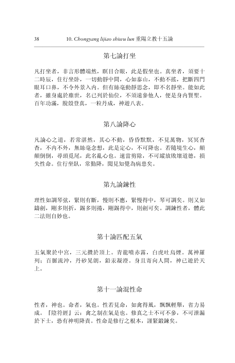# 第七論打坐

凡打坐者, 非言形體端然, 瞑目合眼, 此是假坐也。真坐者, 須要十 二時辰, 住行坐卧, 一切動靜中間, 心如泰山, 不動不搖, 把斷四門 眼耳口鼻,不令外景入内。但有絲毫動靜思念, 即不名靜坐。能如此 者, 雖身處於塵世, 名已列於仙位, 不須遠參他人, 便是身内腎聖。 百年功滿, 脫殼登真, 一粒丹成, 神遊八表。

### 第八論降心

凡論心之道,若常湛然,其心不動,昏昏默默,不見萬物,冥冥杳 杳,不内不外,無絲毫念想,此是定心,不可降也。若隨境生心,顛 顛倒倒, 尋頭覓尾, 此名亂心也。速當剪除, 不可縱放敗壞道德, 損 失性命。住行坐臥, 常勤降, 聞見知覺為病患矣。

# 第九論鍊性

理性如調琴弦, 緊則有斷, 慢則不應, 緊慢得中, 琴可調矣。則又如 鑄劍, 剛多則折, 錫多則捲, 剛錫得中, 則劍可矣。調鍊性者, 體此 二法則自妙也。

### 第十論匹配五氣

五氣聚於中宮, 三元攢於頂上。青龍噴赤霧, 白虎吐烏煙。萬神羅 列: 百脈流沖, 丹砂晃朗, 鉛汞凝澄。身目寄向人間, 神已游於天  $\mathsf{F}$ .

### 第十一論混性命

性者, 神也。命者, 氣也。性若見命, 如禽得風, 飄飄輕舉, 省力易 成。『陰符經』云: 禽之制在氣是也。修真之士不可不參, 不可泄漏 於下士, 恐有神明降責。性命是修行之根本, 謹緊鍛鍊矣。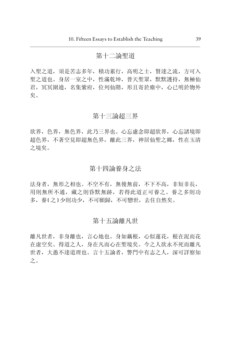## 第十二論聖道

入聖之道, 須是苦志多年, 積功累行, 高明之士, 賢達之流, 方可入 聖之道也。身居一室之中,性滿乾坤,普天聖眾,默默護持,無極仙 君, 冥冥圍遶, 名集紫府, 位列仙階, 形且寄於塵中, 心已明於物外 矣。

### 第十三論超三界

欲界, 色界, 無色界, 此乃三界也。心忘慮念即超欲界, 心忘諸境即 超色界, 不著空見即超無色界, 離此三界, 神居仙聖之鄉, 性在玉清 之境矣。

# 第十四論養身之法

法身者,無形之相也。不空不有,無後無前,不下不高,非短非長, 用則無所不通,藏之則昏默無跡,若得此道正可養之。養之多則功 多,養〔之〕少則功少,不可願歸,不可戀世,去住自然矣。

### 第十五論離凡世

離凡世者, 非身離也, 言心地也。身如藕根, 心似蓮花, 根在泥而花 在虛空矣。得道之人,身在凡而心在聖境矣。今之人欲永不死而離凡 世者, 大愚不達道理也。言十五論者, 警門中有志之人, 深可詳察知  $\dot{z}$  .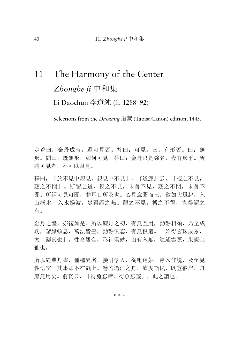# 11 The Harmony of the Center Zhonghe *ji* 中和集 Li Daochun 李道純 (fl. 1288–92)

Selections from the *Daozang* 道藏 (Taoist Canon) edition, 1445.

定菴曰:金丹成時,還可見否。答曰:可見。曰:有形否。曰:無 形。問曰: 既無形,如何可見。答曰: 金丹只是強名,豈有形乎。所 謂可見者,不可以眼見。

釋曰, 「於不見中親見, 親見中不見」, 『道經』云, 「視之不見. 聽之不聞」。斯謂之道,視之不見,未嘗不見,聽之不聞,未嘗不 聞。所謂可見可聞, 非耳目所及也。心見意聞而已。譬如大風起, 入 山撼木, 入水揚波, 豈得謂之無。觀之不見, 搏之不得, 豈得謂之 有。

金丹之體,亦復如是。所以鍊丹之初,有無互用,動靜相須,乃至成 功,諸緣頓息,萬法皆空,動靜俱忘,有無俱遣。「始得玄珠成象, 太一歸真也」。性命雙全,形神俱妙,出有入無,逍遙雲際,果證金 仙也。

所以經典丹書, 種種異名, 接引學人, 從粗達妙, 漸入佳境, 及至見 性悟空。其事却不在紙上。譬若過河之舟,濟度斯民,既登彼岸,舟 船無用矣。前賢云,「得兔忘蹄,得魚忘筌」,此之謂也。

\* \* \*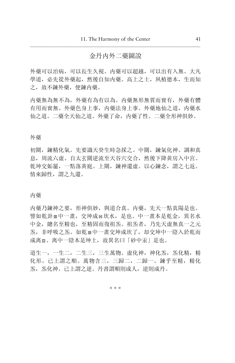# 金丹内外二藥圖說

外藥可以治病,可以長生久視。内藥可以超越,可以出有入無。大凡 學道,必先從外藥起,然後自知内藥。高上之士,夙植德本,生而知 之,故不鍊外藥,便鍊内藥。

内藥無為無不為, 外藥有為有以為。内藥無形無質而實有, 外藥有體 有用而實無。外藥色身上事,内藥法身上事。外藥地仙之道,内藥水 仙之道。二藥全天仙之道。外藥了命,内藥了性。二藥全形神俱妙。

### 外藥

初關,鍊精化氣。先要識天癸生時急採之。中關,鍊氣化神。調和真 息,周流六虚。自太玄關逆流至天谷穴交合,然後下降黄房入中宮。 乾坤交姤罷,一點落黃庭。上關,鍊神還虛。以心鍊念,謂之七返。 情來歸性, 謂之九還。

内藥

内藥乃鍊神之要,形神俱妙,與道合真。内藥,先天一點真陽是也。 譬如乾卦≡中一畫,交坤成≡坎水,是也。中一畫本是乾金,異名水 中金,總名至精也,至精固而復祖炁。祖炁者,乃先天虛無真一之元 炁,非呼吸之炁。如乾≡中一畫交坤成坎了,却交坤中一陰入於乾而 成离☲。离中一陰本是坤土,故異名曰「砂中汞」是也。

道生一,一生二,二生三,三生萬物。虛化神,神化炁,炁化精,精 化形。已上謂之順。萬物含三,三歸二,二歸一。鍊乎至精,精化 炁,炁化神。已上謂之逆。丹書謂順則成人,逆則成丹。

\* \* \*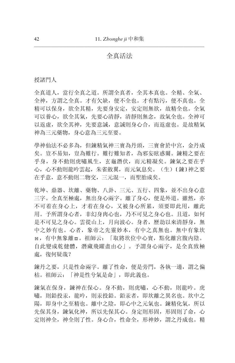# 全真活法

授諸門人

全真道人,當行全真之道。所謂全真者,全其本真也。全精、全氣、 全神,方謂之全真。才有欠缺,便不全也。才有點污,便不真也。全 精可以保身, 欲全其精, 先要身安定, 安定則無欲, 故精全也。全氣 可以養心, 欲全其氣, 先要心清靜, 清靜則無念, 故氣全也。全神可 以返虛, 欲全其神, 先要意誠, 意誠則身心合, 而返虛也。是故精氣 神為三元藥物,身心意為三元至要。

學神仙法不必多為,但鍊精氣神三寶為丹頭, 三寶會於中宮, 金丹成 矣。豈不易知,豈為難行。難行難知者,為邪妄眩惑爾。鍊精之要在 乎身,身不動則虎嘯風生,玄龜潛伏,而元精凝矣。鍊氣之要在乎 心,心不動則龍吟雲起,朱雀斂翼,而元氣息矣。(生)〔鍊〕神之要 在乎意, 意不動則二物交, 三元混一, 而聖胎成矣。

乾坤、鼎器、坎離、藥物、八卦、三元、五行、四象, 並不出身心意 三字。全真至極處,無出身心兩字。離了身心,便是外道。雖然,亦 不可着在身心上, 才着在身心, 又被身心所累, 須要即此用, 離此 用。予所謂身心者,非幻身肉心也,乃不可見之身心也。且道,如何 是不可見之身心。雲從山上,月向波心。身者,歷劫以來清靜身,無 中之妙有也。心者,象帝之先靈妙本,有中之真無也。無中有象坎 ≡, 有中無象離〓。祖師云: 「取將坎位中心實, 點化離宮腹内陰。 自此變成乾健體, 潛藏飛躍盡由心」。予謂身心兩字, 是全真致極 處, 復何疑哉?

鍊丹之要,只是性命兩字。離了性命,便是旁門,各執一邊,謂之偏 枯。祖師云: 「神是性兮氣是命」, 即此義也。

鍊氣在保身,鍊神在保心。身不動,則虎嘯,心不動,則龍吟。虎 嘯,則鉛投汞,龍吟,則汞投鉛。鉛汞者,即坎離之異名也。坎中之 陽,即身中之至精也。離中之陰,即心中之元氣也。鍊精化氣,所以 先保其身,鍊氣化神,所以先保其心。身定則形固,形固則了命,心 定則神全,神全則了性。身心合,性命全,形神妙,謂之丹成也。精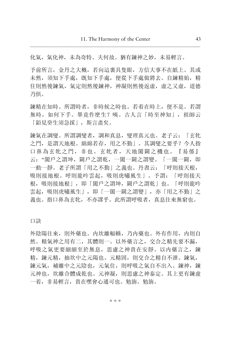化氣, 氣化神, 未為奇特。夫何故。猶有鍊神之妙, 未易輕言。

予前所言,金丹之大概,若向這裏具隻眼,方信大事不在紙上。其或 未然,須知下手處,既知下手處,便從下手處做將去。自鍊精始,精 住則然後鍊氣, 氣定則然後鍊神, 神凝則然後返虛, 虛之又虛, 道德 乃俱。

鍊精在知時。所謂時者,非時候之時也。若着在時上,便不是。若謂 無時,如何下手。畢竟作麽生?咦。古人言「時至神知」,祖師云 「鉛見癸生須急採」,斯言盡矣。

鍊氣在調燮。所謂調燮者, 調和真息, 燮理真元也。老子云: 「玄牝 之門,是謂天地根。綿綿若存,用之不勤」。其調燮之要乎? 今人指 口鼻為玄牝之門, 非也。玄牝者, 天地闔闢之機也。『易係』 云: "闔戶之謂坤, 闢戶之謂乾, 一闔一闢之謂變。「一闔一闢, 即 一動一靜。老子所謂「用之不勤」之義也。丹書云: 「呼則接天根, 吸則接地根。呼則龍吟雲起, 吸則虎嘯風生」。予謂: 「呼則接天 根,吸則接地根」,即「闔戶之謂坤,闢戶之謂乾」也。「呼則龍吟 雲起, 吸則虎嘯風生 |, 即「一闔一闢之謂變」, 亦「用之不勤」之 義也。指口鼻為玄牝,不亦謬乎。此所謂呼吸者,真息往來無窮也。

口訣

外陰陽往來, 則外藥也。内坎離輻輳, 乃内藥也。外有作用, 内則自 然。精氣神之用有二,其體則一。以外藥言之,交合之精先要不漏, 呼吸之氣更要細細至於無息, 思慮之神貴在安靜。以内藥言之, 鍊 精,鍊元精,抽坎中之元陽也。元精固,則交合之精自不泄。鍊氣, 鍊元氣,補離中之元陰也,元氣住,則呼吸之氣自不出入。 鍊神,鍊 元神也,坎離合體成乾也。元神凝,則思慮之神泰定。其上更有鍊虛 一着, 非易輕言, 貴在嘿會心通可也。勉旃。勉旃。

\* \* \*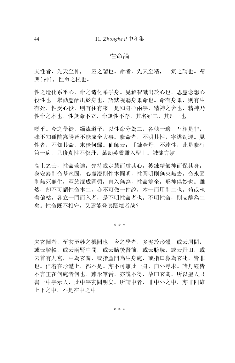# 性命論

夫性者,先天至神,一靈之謂也。命者,先天至精,一氣之謂也。精 與〔神〕, 性命之根也。

性之造化系乎心, 命之造化系乎身。見解智識出於心也, 思慮念想心 役性也。舉動應酬出於身也, 語默視聽身累命也。命有身累, 則有生 有死, 性受心役, 則有往有來。是知身心兩字, 精神之舍也, 精神乃 性命之本也。性無命不立,命無性不存,其名雖二,其理一也。

嗟乎。今之學徒,緇流道子,以性命分為二,各執一邊,互相是非, 殊不知孤陰寡陽皆不能成全大事。修命者,不明其性,寧逃劫運。見 性者,不知其命,末後何歸。仙師云:「鍊金丹,不達性,此是修行 第一病。只修真性不修丹,萬劫英靈難入聖」。誠哉言歟。

高上之士, 性命兼達, 先持戒定慧而虚其心, 後鍊精氣神而保其身, 身安泰則命基永固, 心虚澄則性本圓明, 性圓明則無來無去, 命永固 則無死無生,至於混成圓頓,直入無為,性命雙全,形神俱妙也。雖 然,却不可謂性命本二,亦不可做一件說,本一而用則二也。苟或執 着偏枯,各立一門而入者,是不明性命者也。不明性命,則支離為二 矣。性命既不相守, 又焉能登真躡境者哉?

\* \* \*

夫玄關者,至玄至妙之機關也。今之學者,多泥於形體,或云眉間, 或云臍輪, 或云兩腎中間, 或云臍後腎前, 或云膀胱, 或云丹田, 或 云首有九宮, 中為玄關, 或指產門為生身處, 或指口鼻為玄牝, 皆非 也。但着在形體上,都不是。亦不可離此一身,向外尋求。諸丹經皆 不言正在何處者何也。難形筆舌,亦說不得,故曰玄關。所以聖人只 書一中字示人, 此中字玄關明矣。所謂中者, 非中外之中, 亦非四維 上下之中,不是在中之中。

\* \* \*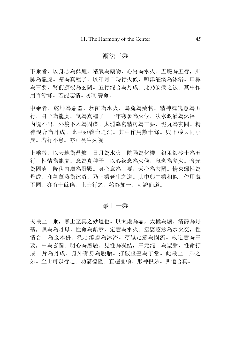### 漸法三乘

下乘者,以身心為鼎爐,精氣為藥物,心腎為水火。五臟為五行,肝 肺為龍虎。精為真種子。以年月日時行火候, 嚥津灌溉為沐浴。口鼻 為三要, 腎前臍後為玄關。五行混合為丹成。此乃安樂之法。其中作 用百餘條。若能忘情。亦可養命。

中乘者, 乾坤為鼎器, 坎離為水火, 烏兔為藥物。精神魂魄意為五 行,身心為龍虎。氣為真種子。一年寒暑為火候,法水溉灌為沐浴。 内境不出, 外境不入為固濟。太淵絳宮精房為三要, 泥丸為玄關。精 神混合為丹成。此中乘養命之法。其中作用數十條。與下乘大同小 異。若行不怠。亦可長生久視。

上乘者, 以天地為鼎爐, 日月為水火。陰陽為化機。鉛汞銀砂土為五 行,性情為龍虎。念為真種子。以心鍊念為火候,息念為養火。含光 為固濟。降伏内魔為野戰。身心意為三要,天心為玄關。情來歸性為 丹成。和氣董蒸為沐浴。乃上乘延生之道。其中與中乘相似。作用處 不同。亦有十餘條。上十行之。始終如一。可證仙道。

# 最上一乘

夫最上一乘, 無上至真之妙道也。以太虛為鼎, 太極為爐。清靜為丹 基, 無為為丹母。性命為鉛汞, 定慧為水火。窒慾懲忿為水火交, 性 情合一為金木併。洗心滌慮為沐浴。存誠定意為固濟。戒定慧為三 要, 中為玄關。明心為應驗。見性為凝結, 三元混一為聖胎, 性命打 成一片為丹成。身外有身為脫胎。打破虛空為了當。此最上一乘之 妙。至士可以行之。功滿德降。直超圓頓。形神俱妙。與道合真。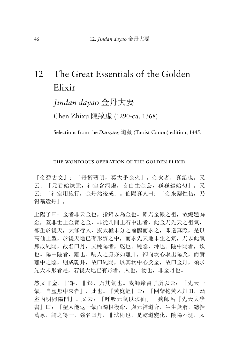# 12 The Great Essentials of the Golden Elixir

# *Jindan dayao* 金丹大要

Chen Zhixu 陳致虛 (1290-ca. 1368)

Selections from the *Daozang* 道藏 (Taoist Canon) edition, 1445.

### the wondrous operation of the golden elixir

『金碧古文』: 「丹術著明, 莫大乎金火」。金火者, 真鉛也。又 云: 「元君始煉汞, 神室含洞虚, 玄白生金公, 巍巍建始初」。又 云: 「神室用施行, 金丹然後成」。伯陽真人曰: 「金來歸性初, 乃 得稱還丹」。

上陽子曰:金者非云金也,指鉛以為金也。鉛乃金銀之祖,故總題為 金, 蓄非世上金寶之金, 非從凡間土石中出者, 此金乃先天之祖氣, 卻生於後天, 大修行人, 擬太極未分之前體而求之, 即造真際, 是以 高仙上聖, 於後天地已有形質之中, 而求先天地未生之氣, 乃以此氣 煉成純陽,故名曰丹,夫純陽者,乾也。純陰,坤也。陰中陽者,坎 也。陽中陰者,離也。喻人之身亦如離卦,卻向坎心取出陽爻,而實 離中之陰, 則成乾卦, 故曰純陽, 以其坎中心爻金, 故曰金丹, 須求 先天未形者是, 若後天地已有形者, 人也, 物也, 非金丹也。

然又非金,非鉛,非銀,乃其氣也。我師緣督子所以云: 「先天一 氣,自虛無中來者」,此也。『黄庭經』云: 「回紫抱黄入丹田,幽 室内明照陽門」。又云: 「呼吸元氣以求仙」。魏師呂『先天大學 書』曰: 「聖人能返一氣而歸根復命, 與元神道合, 生生無窮, 總括 萬象, 謂之得一, 強名曰丹, 非法術也, 是乾道變化, 陰陽不測, 太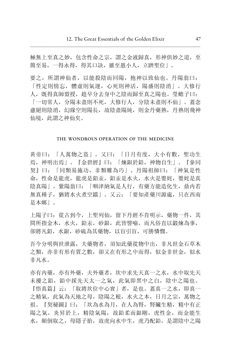極無上至真之妙, 包含性命之宗, 謂之金液歸真, 形神俱妙之道, 至 簡至易, 一得永得, 得其口訣, 雖至愚小人, 立躋聖位」。

要之, 所謂神仙者, 以能殺陰而回陽, 抱神以致仙也。丹陽翁曰: 「性定則情忘, 體虛則氣運, 心死則神活, 陽盛則陰消」。大修行 人, 既得真師盟授, 趁早分去身中之陰而歸至真之陽也。 榮蟾子曰: 「一切常人, 分陽未盡則不死, 大修行人, 分陰未盡則不仙」。蓋念 盧絕則陰消, 幻緣空則陽長, 故陰盡陽純, 則金丹藥熟, 丹熟則飛神 仙境, 此謂之神仙矣。

### THE WONDROUS OPERATION OF THE MEDICINE

黄帝曰: 「人萬物之盜」。又曰: 「日月有度, 大小有數, 聖功生 焉, 神明出焉| 。『金碧經』曰: 「煉銀於鉛, 神物自生| 。『參同 契】曰: 「同類易施功, 非類難為巧」。丹陽祖師曰: 「神氣是性 命, 性命是龍虎, 龍虎是鉛汞, 鉛汞是水火, 水火是嬰姹, 嬰姹是真 陰真陽」。紫陽翁曰: 「咽津納氣是人行, 有藥方能造化生, 鼎内若 無真種子, 猶將水火煮空鐺| 。又云: 「要知產藥川源處, 只在西南 是本鄉」。

上陽子曰: 從古到今, 上聖列仙, 留下丹經不肯明示, 藥物一件, 其 間所指金木, 水火, 鉛汞, 砂銀, 此皆譬喻, 而凡俗直以鍛煉為事, 卻將凡鉛, 水銀, 砂硫為其藥物, 以盲引盲, 可勝憐憫。

吾今分明與世泄露, 夫藥物者, 須知此藥從物中出, 非凡世金石草木 之類, 亦非有形有質之數, 卻又在有形之中而得, 似金非世金, 似水 非凡水。

亦有内藥, 亦有外藥, 夫外藥者, 坎中求先天真一之水, 水中取先天 未擾之鉛, 鉛中採先天太一之氣, 此氣即黑中之白, 陰中之陽也。 『悟真篇』云: 「取將坎位中心實」者, 是也。蓋真一之水, 即真一 之精氣, 此氣為天地之母, 陰陽之根, 水火之本, 日月之宗, 萬物之 祖。『契秘圖』曰: 「坎為水為月, 在人為腎, 腎臟生精, 精中有正 陽之氣, 炎昇於上, 精陰氣陽, 故鉛柔而銀剛, 虎性金, 而金能生 水, 顛倒取之, 母隱子胎, 故虎向水中生, 虎乃配鉛, 是謂陰中之陽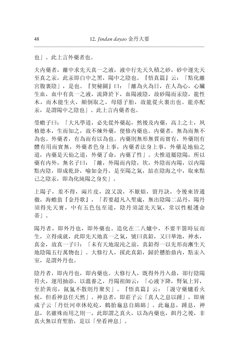也」。此上言外藥者也。

夫内藥者, 離中求先天真一之液, 液中行先天久積之砂, 砂中運先天 至真之汞, 此汞即白中之黑, 陽中之陰也。『悟真篇』云: 「點化離 宮腹裏陰」,是也。『契秘圖』曰:「離為火為日,在人為心,心臟 生血, 血中有真一之液, 流降於下, 血陽液陰, 故砂陽而汞陰, 龍性 木,而木能生火,顛倒取之,母隱子胎,故龍從火裏出也。龍亦配 汞, 是謂陽中之陰也| 。此上言内藥者也。

瑩蟾子曰: 「大凡學道, 必先從外藥起, 然後及内藥, 高上之士, 夙 植德本,生而知之,故不煉外藥,便修内藥也。内藥者,無為而無不 為也。外藥者, 有為而有以為也。内藥則無形無質而實有, 外藥則有 體有用而實無, 外藥者色身上事, 内藥者法身上事, 外藥是地仙之 道, 内藥是天仙之道, 外藥了命, 内藥了性」。夫惟道屬陰陽, 所以 藥有内外, 無名子曰: 「離, 外陽而内陰, 坎, 外陰而内陽, 以内陽 點内陰, 即成乾卦, 喻如金丹, 是至陽之氣, 結在陰海之中, 取來點 己之陰汞,即為化純陽之身矣」。

上陽子, 羞不得, 兩片皮, 說又說, 不厭煩, 留丹訣, 今後來皆通 徹, 海蟾翁『金丹歌』, 「若要超凡入聖處, 無出陰陽二品丹, 陽丹 須得先天寶, 中有五色包至道, 陰丹須認先天氣, 常以性根護命 蒂|

陽丹者, 即外丹也, 即外藥也。造化在二八爐中, 不要半箇時辰而 生,立得成就,此即先天地真一之氣,號曰真鉛,又曰華池,神水, 真金, 故真一子曰: 「未有天地混沌之前, 真鉛得一以先形而漸生天 地陰陽五行萬物也 | 。大修行人, 採此真鉛, 歸於懸胎鼎内, 點汞入 室, 是謂外丹也。

陰丹者, 即内丹也, 即内藥也。大修行人, 既得外丹入鼎, 卻行陰陽 符火, 運用抽添, 以溫養之, 丹陽祖師云: 「心液下降, 腎氣上昇, 至於黃房, 氤氳不散則丹聚矣」。『悟真篇』云: 「謾守藥爐看火 候,但看神息任天然」。神息者,即莊子云「真人之息以踵」,即廣 成子云「丹灶河車休矻矻, 鶴胎龜息自綿綿」。此龜息, 踵息, 神 息,名雖殊而用之則一,此即謂之真火,以為内藥也,餌丹之後,非 真火無以育聖胎,是以「坐看神息」。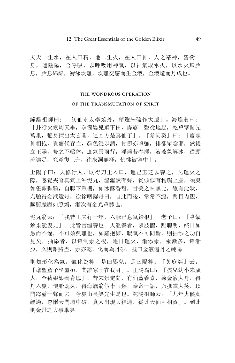夫天一生水, 在人曰精, 地二生火, 在人曰神, 人之精神, 營衛一 身, 運陰陽, 合呼吸, 以呼吸用神氣, 以神氣取水火, 以水火煉胎 息, 胎息綿綿, 游泳坎離, 坎離交感而生金液, 金液還而丹成也。

### THE WONDROUS OPERATION

### OF THE TRANSMUTATION OF SPIRIT

鐘離祖師曰: 「訪仙求友學燒丹, 精選朱硫作大還」。海蟾翁曰: 「卦行火候周天畢, 孕箇嬰兒瑣下田, 露露一聲從地起, 乾戶壁開光 萬里, 翻身撞出太玄關, 這回方是真仙子」。『參同契』曰: 「寢寐 神相抱, 覺寤候存亡, 顏色浸以潤, 骨節亦堅強, 排卻眾陰邪, 然後 立正陽, 修之不輟休, 庶氣雲雨行, 淫淫若春澤, 液液象解冰, 從頭 流達足, 究竟復上升, 往來洞無極, 怫怫被容中|。

上陽子曰: 大修行人,既得刀圭入口,運己玉芝以養之,凡運火之 際,忽覺夾脊真氣上沖泥丸,瀝瀝然有聲,從頭似有物觸上腦,須臾 如雀卵顆顆, 自腭下重樓, 如冰酥香甜, 甘美之味無比, 覺有此狀, 乃驗得金液還丹, 徐徐咽歸丹田, 自此而後, 常常不絕, 閑目内觀, 臟腑歷歷如照燭,漸次有金光罩體也。

泥丸翁云: 「我昔工夫行一年, 六脈已息氣歸根」。老子曰: 「專氣 致柔能嬰兒」。此皆言溫養也。夫溫養者, 隳肢體, 黜聰明, 終日如 愚而不違,不可須臾離也,如雞抱卵,暖氣不可間斷,則抽添之功自 見矣, 抽添者, 以鉛制汞之後, 逐日運火, 漸添汞, 汞漸多, 鉛漸 少, 久則鉛將盡, 汞亦乾, 化而為丹砂, 號曰金液還丹之純陽。

則知形化為氣, 氣化為神, 是曰嬰兒, 是曰陽神。『黃庭經』云: 「瞻望童子坐盤桓, 間誰家子在我身」。正陽翁曰: 「孩兒幼小未成 人, 全藉娘娘養育恩| 。昔宋景定間, 有仙藍養素, 鍊金液大丹, 得 丹入嶽, 懷胎既久, 得海蟾翁假李玉谿, 奉寄一語, 乃撫掌大笑, 頂 門露露一聲而夫,今嶽山長笑先生是也。純陽祖師云: 「九年火候真 經過,忽爾天門頂中破,真人出現大神通,從此天仙可相賀」。到此 則金丹之大事畢矣。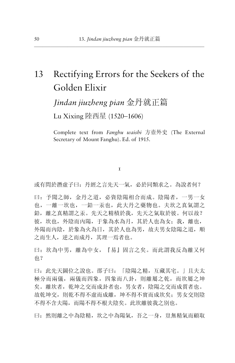# 13 Rectifying Errors for the Seekers of the Golden Elixir

*Jindan jiuzheng pian* 金丹就正篇

Lu Xixing 陸西星 (1520-1606)

Complete text from Fanghu waishi 方壺外史 (The External Secretary of Mount Fanghu). Ed. of 1915.

 $\mathbf{T}$ 

或有問於潛虛子曰: 丹經之言先天一氣, 必於同類求之。為說者何?

曰: 予聞之師, 金丹之道, 必資陰陽相合而成。陰陽者, 一男一女 也,一離一坎也,一鉛一汞也,此大丹之藥物也。夫坎之真氣謂之 鉛, 離之真精謂之汞。先天之精積於我, 先天之氣取於彼。何以故? 彼,坎也,外陰而内陽,于象為水為月,其於人也為女;我,離也, 外陽而內陰, 於象為火為日, 其於人也為男, 故夫男女陰陽之道, 順 之而生人, 逆之而成丹, 其理一焉者也。

曰: 坎為中男, 離為中女, 『易』固言之矣。而此謂我反為離又何 也?

曰: 此先天圖位之說也。邵子曰: 「陰陽之精, 互藏其字。」且夫太 極分而兩儀, 兩儀而四象, 四象而八卦, 則離屬之乾, 而坎屬之坤 矣。離坎者, 乾坤之交而成卦者也, 男女者, 陰陽之交而成質者也。 故乾坤交, 則乾不得不虚而成離, 坤不得不實而成坎矣: 男女交則陰 不得不含夫陽,而陽不得不根夫陰矣。此坎離彼我之別也。

曰: 然則離之中為陰精, 坎之中為陽氣, 吾之一身, 豈無精氣而顧取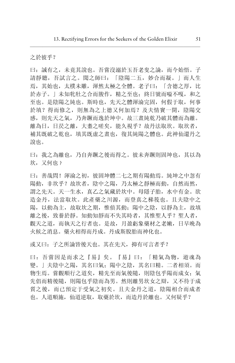之於彼乎?

曰: 誠有之, 未竟其說也。吾嘗沒溺於玉吾老叟之論, 而今始悟。子 請靜聽, 吾試言之。聞之師曰: 「陰陽二五, 妙合而凝。」而人生 焉, 其始也, 太樸未雕, 渾然太極之全體。老子曰: 「含德之厚, 比 於赤子。| 未知牝牡之合而朘作, 精之至也: 終日號而嗌不嘎, 和之 至也。是陰陽之純也。斯時也, 先天之體渾淪完固, 何假于取, 何事 於填?得而修之,則無為之上德又何加焉?及夫情竇一開,陰陽交 感, 則先天之氣, 乃奔蹶而逸於坤中。故三畫純乾乃破其體而為離。 離為日,日昃之離,大耋之嗟矣,能久視乎?故丹法取坎。取坎者, 補其既破之乾也,填其既虚之畫也,復其純陽之體也。此神仙還丹之 說也。

曰: 我之為離也, 乃自奔蹶之後而得之。彼未奔蹶則固坤也, 其以為 坎, 又何也?

曰: 善哉問! 渾淪之初, 彼固坤體二十之期有陽動焉。純坤之中忽有 陽動, 非坎平? 故坎者, 陰中之陽, 乃太極之靜極而動, 自然而然, 謂之先天。天一生水, 真乙之氣藏於坎中。母隱子胎, 水中有金。欲 造金丹, 法當取坎。此產藥之川源, 而登真之梯筏也。目夫陰中之 陽,以動為主,故取坎之期,惟偵其動:陽中之陰,以靜為主,故填 離之後, 致養於靜。知動知靜而不失其時者, 其惟聖人平? 聖人者, 觀天之道,而執天之行者也。是故, 月盈虧象藥材之老嫩, 日早晚為 火候之消息。藥火相得而丹成。丹成斯脫胎而神化也。

或又曰: 子之所論皆後天也。其在先天, 抑有可言者乎?

曰:吾嘗因是而求之『易』矣。『易』曰:「精氣為物,遊魂為 變。」夫陰中之陽, 其名曰氣; 陽中之陰, 其名曰精。二者相須。而 物生焉。嘗觀順行之道矣,精先至而氣後隨,則陰包乎陽而成女;氣 先倡而精後隨, 則陽包乎陰而為男。然則離男坎女之辯, 又不待于成 質之後,而已預定于受氣之初矣。且夫金丹之道,陰陽相合而成者 也。人道順施, 仙道逆取, 取藥於坎, 而造丹於離也。又何疑乎?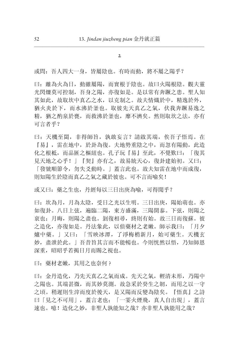或問:吾人四大一身,皆屬陰也。有時而動,將不屬之陽乎?

曰: 離為火為日, 動雖屬陽, 而實根于陰也。故曰火陽根陰。觀夫靈 光閃爍莫可控制, 吾身之陽, 亦復如是。是以常有奔蹶之患。聖人知 其如此, 故取坎中真乙之水, 以克制之。故夫情熾於中, 精逸於外, 猶火炎於下,而水沸於釜也。取彼先天真乙之氣, 伏我奔蹶易逸之 精, 猶之酌泉於甕, 而救沸於釜也, 靡不濟矣。然則取坎之法, 亦有 可言者乎?

曰: 天機至閟, 非得師旨, 孰敢妄言? 請啟其端, 俟吾子悟焉。在 『易』,雷在地中,於卦為復。夫地勢重陰之中,而忽有陽動,此造 化之根柢,而品匯之樞紐也。孔子玩『易』至此,不覺歎曰: 「復其 見天地之心乎!」『契』亦有之,故易統天心,復卦建始初。又曰; 「發號順節令, 勿失爻動時。」蓋言此也。故夫知雷在地中而成復, 則知陽生於陰而真乙之氣之藏於彼也。可不言而喻矣!

或又曰: 藥之生也, 丹經每以三日出庚為喻, 可得聞乎?

曰: 坎為月, 月為太陰, 受日之光以生明。三日出庚, 陽始萌也。亦 如復卦。八日上弦,遍臨二陽,東方盛滿,三陽開泰。下弦,則陽之 衰也; 月晦, 則陽之盡也。剝復相尋, 終則有始。故三日而復蘇。彼 之造化, 亦復如是。丹法象此, 以偵藥材之老嫩。師示我曰: 「月夕 爐中藥。」又曰: 「雪映冰潭, 了淨梅梢新月, 始可藥生。天機玄 妙, 盡泄於此。」吾昔旨其言而不能暢也。今則恍然以悟, 乃知師恩 深重,昭昭乎若揭日月而賜之視也。

曰: 藥材老嫩, 其用之也奈何?

曰:金丹造化,乃先天真乙之氣而成。先天之氣,輕清未形,乃陽中 之陽也。其端甚微,而其妙莫測。故急采於癸生之韌,而用之以一守 之頃。稍遲則生滓而度於後天,是又陽而反變為陰矣。『悟真』之詩 曰「見之不可用」, 蓋言老也; 「一霎火煙飛, 真人自出現」, 蓋言 速也。噫!造化之妙,非聖人孰能知之哉?亦非聖人孰能用之哉?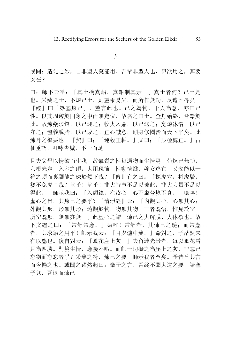或問: 造化之妙, 自非聖人莫能用。吾輩非聖人也, 伊欲用之, 其要 安在?

曰: 師不云乎: 「真土擒真鉛, 真鉛制真汞。」真土者何? 己土是 也。采藥之士, 不煉己十, 則靈汞易失, 而所作無功, 反遭困辱矣。 『經』曰「築基煉己」, 蓋言此也。己之為物, 于人為意, 亦曰己 性。以其周遊於四象之中而無定位,故名之曰土。金丹始終,皆籍於 此。故煉藥求鉛, 以己迎之: 收火入鼎, 以己送之: 烹煉沐浴, 以己 守之; 溫養脫胎, 以己成之。正心誠意, 則身修國治而天下平矣。此 煉丹之樞要也。『契』曰: 「運穀正軸。」又曰: 「辰極處正。」古 仙垂語,叮嚀告城,不一而足。

目夫父母以情欲而生我,故氣質之性每遇物而生情焉。苟煉己無功, 六根未定, 入室之頃, 大用現前, 性動情熾, 姹女逃亡, 又安能以一 符之頃而奪驪龍之珠於領下哉? 『傳』有之曰: 「探虎穴, 将虎鬚, 幾不免虎口哉? 危平! 危平! 非大智慧不足以破此, 非大力量不足以 得此。」師示我曰: 「入頭鏡, 在汝心, 心不虛兮境不真。」噫嘻! 虚心之旨, 其煉己之要乎? 『清淨經』云: 「内觀其心, 心無其心: 外觀其形,形無其形;遠觀於物,物無其物。三者既悟,惟見於空。 所空既無, 無無亦無。」此虛心之謂。煉己之大解脫、大休歇也。故 下文繼之曰: 「常靜常應。」嗚呼! 常靜者, 其煉己之驗; 而常應 者, 其求鉛之用乎! 師示我云: 「月夕爐中藥。」命對之, 子茫然未 有以應也。復自對云: 「風花座上灰。」夫留連光景者, 每以風花雪 月為四勝。對境生情, 應接不暇。而師一切擬之為座上之灰, 非忘己 忘物面忘忘者乎?采藥之符, 煉己之要, 師示我者至矣。予昔旨其言 而今暢之也。或聞之躍然起曰: 微子之言, 吾終不聞大道之要, 請塞 子兌, 吾退而煉己。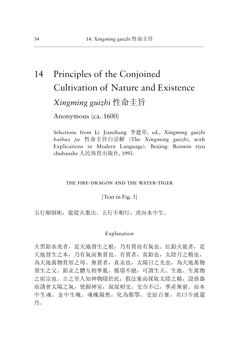# Principles of the Conjoined 14 Cultivation of Nature and Existence Xingming guizhi 性命丰旨

Anonymous (ca. 1600)

Selections from Li Jianzhang 李建章, ed., Xingming guizhi baihua iie 性命圭旨白话解 (The Xingming guizhi, with Explications in Modern Language). Beijing: Renmin tiyu chubanshe 人民体育出版社, 1993.

### THE FIRE-DRAGON AND THE WATER-TIGER

[Text in Fig. 3]

五行顛倒術,龍從火裏出。五行不順行,虎向水中生。

### Explanation

夫黑鉛水虎者, 是天地發生之根, 乃有質而有氣也。紅鉛火龍者, 是 天地發生之本, 乃有氣而無質也。有質者, 真鉛也, 太陰月之精也, 為天地萬物育形之母。無質者, 真汞也, 太陽日之光也, 為天地萬物 發生之父。鉛汞之體互相孳胤, 循環不絕, 可謂生天、生地、生萬物 之祖宗也。古之至人知神物隱於此, 假法象而採取太陰之精, 設鼎器 而誘會太陽之氣, 使歸神室, 混混相交。交合不已, 孳產無窮。而木 中生魂, 金中生魄。魂魄凝然, 化為鄞鄂。交結百寶, 名曰今液還 丹。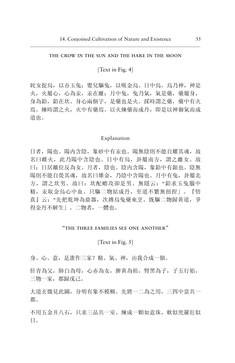### the crow in the sun and the hare in the moon

[Text in Fig. 4]

姹女捉烏, 以吞玉兔; 嬰兒驅兔, 以吸金烏。日中烏, 烏乃神, 神是 火, 火屬心, 心為汞, 汞在離: 月中兔, 兔乃氣, 氣是藥, 藥屬身, 身為鉛, 鉛在坎。身心兩個字, 是藥也是火。採時謂之藥, 藥中有火 焉。煉時謂之火, 火中有藥焉。以火煉藥而成丹, 即是以神御氣而成 道也。

### Explanation

日者, 陽也。陽内含陰, 象砂中有汞也。陽無陰則不能自耀其魂, 故 名曰雌火,此乃陽中含陰也。日中有烏,卦屬南方,謂之離女。故 曰: 日居離位反為女。月者, 陰也。陰内含陽, 象鉛中有銀也。陰無 陽則不能自熒其魂,故名曰雄金,乃陰中含陽也。月中有兔,卦屬北 方,謂之坎男。故曰: 坎配蟾攻卻是男。無隱云: "鉛求玉兔腦中 精,汞取金烏心中血。只驅二物結成丹,至道不繁無扭捏」。『悟 真』云:"先把乾坤為鼎器,次摶烏兔藥來烹。既驅二物歸黃道,爭 得金丹不解生」。二物者,一體也。

### "the three families see one another"

### [Text in Fig. 5]

身、心、意,是誰作三家? 精、氣、神,由我合成一個。

肝青為父, 肺白為母, 心赤為女, 脾黄為祖, 腎黑為子, 子五行始, 三物一家,都歸戊己。

大道玄微見此圖,分明有象不模糊。先將一二為之用,三四中當共一 都。

不用五金并八石,只求三品共一室。煉成一顆如意珠,軟似兜羅紅似 **日。**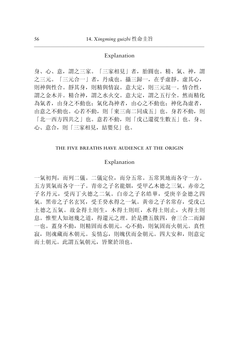### Explanation

身、心、意, 謂之三家。「三家相見」者, 胎圓也。精、氣、神, 謂 之三元。「三元合一」者,丹成也。攝三歸一,在乎虛靜。虛其心, 則神與性合。靜其身,則精與情寂。意大定,則三元混一。情合性, 謂之金木并。精合神, 謂之水火交。意大定, 謂之五行全。然而精化 為氣者, 由身之不動也; 氣化為神者, 由心之不動也; 神化為虛者, 由意之不動也。心若不動, 則「東三南二同成五」也。身若不動, 則 「北一西方四共之」也。意若不動, 則「戊己還從生數五」也。身、 心、意合,則「三家相見,結嬰兒」也。

### THE FIVE BREATHS HAVE AUDIENCE AT THE ORIGIN

### Explanation

一氣初判, 而列二儀。二儀定位, 而分五常。五常異地而各守一方。 五方異氣而各守一子。青帝之子名龍烟, 受甲乙木德之三氣。赤帝之 子名丹元, 受丙丁火德之二氣。白帝之子名皓華, 受庚辛金德之四 氣。黑帝之子名玄冥, 受壬癸水得之一氣。黃帝之子名常存, 受戊己 土德之五氣。故金得土則生, 木得土則旺, 水得土則止, 火得土則 息。惟聖人知迴幾之道, 得還元之理。於是攢五簇四, 會三合二而歸 一也。蓋身不動, 則精固而水朝元。心不動, 則氣固而火朝元。真性 寂, 則魂藏而木朝元。妄情忘, 則魄伏而金朝元。四大安和, 則意定 而土朝元。此謂五氣朝元,皆聚於頂也。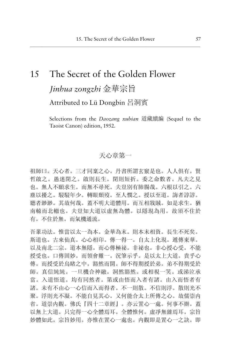# The Secret of the Golden Flower 15 Jinhua zongzhi 金華宗旨

Attributed to Lü Dongbin 呂洞賓

Selections from the *Daozang xubian* 道藏續編 (Sequel to the Taoist Canon) edition, 1952.

# 天心章第一

祖師曰。天心者。三才同稟之心。丹書所謂玄竅是也。人人俱有。腎 哲啟之。愚迷閉之。啟則長生。閉則短折。委之命數者。凡夫之見 也。無人不願求生。而無不尋死。夫豈別有肺腸哉。六根以引之。六 塵以擾之。駸駸年少。轉眼頹歿。至人憫之。授以至道。誨者諄諄。 聽者渺渺。其故何哉。蓋不明大道體用。而互相戕賊。如是求生。猶 南轅而北轍也。夫豈知大道以虛無為體。以隱現為用。故須不住於 有。不住於無。而氣機通流。

吾輩功法。惟當以太一為本。金華為末。則本末相資。長生不死矣。 斯道也。古來仙真。心心相印。傳一得一。自太上化現。遞傳東華。 以及南北二宗。道本無隱。而心傳極祕。非祕也。非心授心受。不能 授受也。口傳固妙。而領會難一。況筆示乎。是以太上大道。貴乎心 傳。而授受於烏睹之中。豁然而開。師不得期授於弟。弟不得期受於 師。真信純純。一旦機合神融。洞然豁然。或相視一笑。或涕泣承 當。入道悟道。均有同然者。第或由悟而入者有諸。由入而悟者有 諸。未有不由心一心信而入而得者。不一則散。不信則浮。散則光不 聚。浮則光不凝。不能自見其心。又何能合太上所傳之心。故儒崇内 省。道崇内觀。佛氏『四十二章經』。亦云置心一處。何事不辦。蓋 以無上大道。只完得一心全體焉耳。全體惟何。虛凈無雜焉耳。宗旨 妙體如此。宗旨妙用。亦惟在置心一處也。内觀即是置心一之訣。即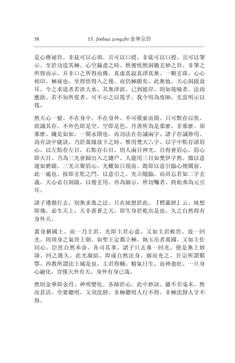是心傳祕旨。非徒可以心領。且可以口授。非徒可以口授。且可以筆 示。至於功造其極。心空漏盡之時。然後恍然洞徹玄妙之旨。非筆之 所得而示。并非口之所得而傳。真虛真寂真淨真無。一顆玄珠。心心 相印。極祕也。至得悟得入之後。而仍極顯矣。此無他。天心洞啟故 耳。今之求道者若涉大水。其無津涯。已到彼岸。則如筏喻者。法尚 應捨。若不知所從者。可不示之以筏乎。我今叨為度師。先當明示以 符。

然天心一竅。不在身外。不可摸索而開。只可默存以俟。 欲識其存。不外色即是空。空即是色。丹書所為是那麼。非那麼。卻 那麼。纔是如如。一開永開也。而功法在存誠兩字。諸子存誠妙用。 尚有訣中捷訣。乃於萬緣放下之時。惟用梵天六字。以字中點存諸眉 心。以左點存左目。右點存右目。則人兩目神光。自得會眉心。眉心 即天目。乃為三光會歸出入之總戶。人能用三目如梵伊字然。微以意 運如磨鏡。三光立聚眉心。光耀如日現前。既即以意引臨心後關前。 此一處也。按即玄牝之門。以意引之。光立隨臨。而毌忘若如二字玄 義。天心必自洞啟。以後玄用。再為細示。所切囑者。終始弗為元引 耳。

諸子遵循行去。別無求進之法。只在純想於此。『楞嚴經』云。純想 即飛。必生天上。天非蒼蒼之天。即生身於乾宮是也。久之自然得有 身外天。

蓋身猶國土。而一乃主君。光即主君心意。又如主君敕旨。故一回 光。則周身之氣皆上朝。如聖王定都立極。執玉帛者萬國。又如主佐 同心。臣庶自然奉命。各司其事。諸子只去專一回光。便是無上妙 諦。回之既久。此光凝結。即成自然法身。廓而充之。吾宗所謂鄞 鄂。西教所謂法王城是也。主君得輔。精氣日生。而神愈旺。一旦身 心融化。豈僅天外有天。身外有身已哉。

然則金華即金丹。神明變化。各師於心。此中妙訣。雖不差毫末。然 而甚活。全要聰明。又須沈靜。非極聰明人行不得。非極沈靜人守不 得。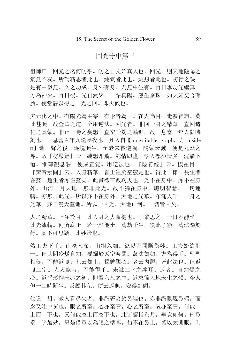## 回光守中第三

祖師曰。回光之名何昉乎。昉之自文始真人也。回光。則天地陰陽之 氣無不凝。所謂精思者此也。純氣者此也。純想者此也。初行之訣。 是有中似無。久之功成。身外有身。乃無中生有。百日專功光纔真。 方為神火。百日後。光自然聚。一點真陽。忽生黍珠。如夫婦交合有 胎。使當靜以待之。光之回。即火候也。

夫元化之中。有陽光為主宰。有形者為日。在人為目。走漏神識。莫 此甚順。故金華之道。全用逆法。回光者。非回一身之精華。直回造 化之真氣。非止一時之妄想。直空千劫之輪迴。故一息當一年人間時 刻也。一息當百年九途長夜也。凡人自【unavailable graph, 力 inside □】地一聲之後。逐境順生。至老未嘗逆視。陽氣衰滅。便是九幽之 界。故『楞嚴經』云。純想即飛。純情即墮。學人想少情多。沈淪下 道。惟諦觀息靜。便成正覺。用逆法也。『陰符經』云。機在目。 『黄帝素問』云。人身精華。皆上注於空竅是也。得此一節。長生者 在茲。超生者亦在茲矣。此貫徹三教功夫也。光不在身中。亦不在身 外。山河日月大地。無非此光。故不獨在身中。聰明智慧。一切運 轉。亦無非此光。所以亦不在身外。天地之光華。布滿大千。一身之 光華。亦自漫天蓋地。所以一回光。天地山河。一切皆回矣。

人之精華。上注於目。此人身之大關楗也。子輩思之。一日不靜坐。 此光流轉。何所底止。若一刻能坐。萬劫千生。從此了徹。萬法歸於 靜。真不可思議。此妙諦也。

然工夫下手。由淺入深。由粗入細。總以不間斷為妙。工夫始終則 一。但其間冷煖自知。要歸於天空海闊。萬法如如。方為得手。聖聖 相傳。不離返照。孔云知止。釋號觀心。老云内觀。皆此法也。但返 照二字。人人能言。不能得手。未識二字之義耳。返者。自知覺之 心。返乎形神未兆之初。即吾六尺之中。返求箇天地未生之體。今人 但一二時閒坐。反顧其私。便云返照。安得到頭。

佛道二祖。教人看鼻尖者。非謂著念於鼻端也。亦非謂眼觀鼻端。而 念又注中黄也。眼之所至。心亦至焉。心之所至。氣亦至焉。何能一 上而一下也。又何能忽上而忽下也。此皆認指為月。畢竟如何。曰鼻 端二字最妙。只是借鼻以為眼之準耳。初不在鼻上。蓋以太開眼。則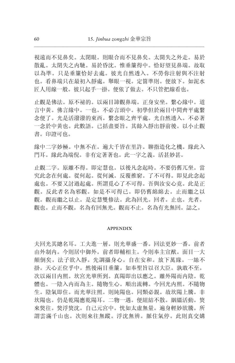視遠而不見鼻矣。太閉眼。則眼合而不見鼻矣。太開失之外走。易於 散亂。太閉失之内馳。易於昏沈。惟垂簾得中。恰好望見鼻端。故取 以為準。只是垂簾恰好去處。彼光自然透入。不勞你注射與不注射 也。看鼻端只在最初入靜處。舉眼一視。定箇準則。便放下。如泥水 匠人用線一般。彼只起手一掛。便依了做去。不只管把線看也。

止觀是佛法。原不祕的。以兩目諦觀鼻端。正身安坐。繫心緣中。道 言中黃。佛言緣中。一也。不必言頭中。初學但於兩目中間齊平處繫 念便了。光是活潑潑的東西。繫念眼之齊平處。光自然透入。不必著 一念於中黃也。此數語。已括盡要旨。其餘入靜出靜前後。以小止觀 書。印證可也。

緣中二字妙極。中無不在。遍大千皆在里許。聊指造化之機。緣此入 門耳。緣此為端倪。非有定著著也。此一字之義。活甚妙甚。

止觀二字。原離不得。即定慧也。以後凡念起時。不要仍舊兀坐。當 究此念在何處。從何起。從何滅。反覆推窮。了不可得。即見此念起 處也。不要又討過起處。所謂覓心了不可得。吾與汝安心竟。此是正 觀。反此者名為邪觀。如是不可得已。即仍舊綿綿夫。止而繼之以 觀。觀而繼之以止。是定慧雙修法。此為回光。回者。止也。光者。 觀也。止而不觀。名為有回無光。觀而不止。名為有光無回。誌之。

#### **APPENDIX**

夫回光其總名耳。工夫進一層。則光華盛一番。回法更妙一番。前者 由外制内。今則居中御外。前者即輔相主。今則奉主宣猷。面目一大 顛倒矣。法子欲入靜。先調攝身心。自在安和。放下萬緣。一絲不 掛。天心正位乎中。然後兩目垂簾。如奉聖旨以召大臣。孰敢不至。 次以兩目内照。坎宮光華所到。真陽即出以應之。離外陽而内陰。乾 體也。一陰入内而為主。隨物生心。順出流轉。今回光内照。不隨物 生。陰氣即住。而光華注照。則純陽也。同類必親。故坎陽上騰。非 坎陽也。仍是乾陽應乾陽耳。二物一遇。便紐結不散。絪縕活動。焂 來悠往。悠浮悠沈。自己元宮中。恍如太虛無量。遍身輕妙欲騰。所 謂雲滿千山也。次則來往無蹤。浮沈無辨。脈住氣停。此則真交媾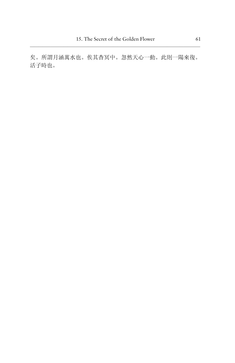矣。所謂月涵萬水也。俟其杳冥中。忽然天心一動。此則一陽來復。 活子時也。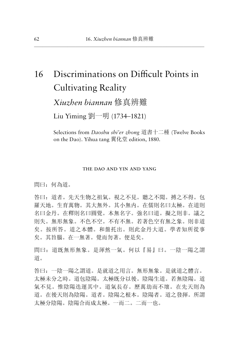# Discriminations on Difficult Points in 16 **Cultivating Reality**

Xiuzhen biannan 修真辨難

Liu Yiming 劉一明 (1734-1821)

Selections from *Daoshu shi'er zhong* 道書十二種 (Twelve Books on the Dao). Yihua tang 翼化堂 edition, 1880.

### THE DAO AND YIN AND YANG

間曰: 何為道。

答曰: 道者。先天生物之祖氣。視之不見。聽之不聞。搏之不得。包 羅天地。生育萬物。其大無外。其小無内。在儒則名曰太極。在道則 名曰金丹。在釋則名曰圓覺。本無名字。強名曰道。擬之則非。議之 則失。無形無象。不色不空。不有不無。若著色空有無之象。則非道 矣。按所答。道之本體。和盤托出。則此金丹大道。學者知所從事 矣。其旨腦。在一無著。覺而勿著。便是矣。

問曰: 道既無形無象。是渾然一氣。何以『易』曰。一陰一陽之謂 道。

答曰: 一陰一陽之謂道。是就道之用言。無形無象。是就道之體言。 太極未分之時。道包陰陽。太極既分以後。陰陽生道。若無陰陽。道 氣不見。惟陰陽迭運其中。道氣長存。歷萬劫而不壞。在先天則為 道。在後天則為陰陽。道者。陰陽之根本。陰陽者。道之發揮。所謂 太極分陰陽。陰陽合而成太極。一而二。二而一也。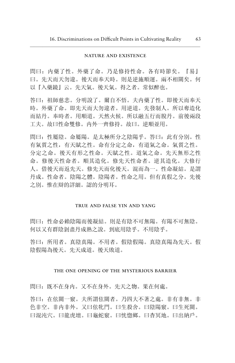### NATURE AND EXISTENCE

問曰: 内藥了性。外藥了命。乃是修持性命。各有時節矣。『易』 曰。先天而天勿違。後天而奉天時。則是逆施順運。兩不相關矣。何 以『入藥鏡』云。先天氣。後天氣。得之者。常似醉也。

答曰: 祖師慈悲。分明說了。爾自不悟。夫内藥了性。即後天而奉天 時。外藥了命。即先天而大勿違者。用逆道。先發制人。所以奪造化 而結丹。奉時者。用順道。天然火候。所以融五行而脫丹。前後兩段 工夫。故曰性命雙修。内外一齊修持。故曰。逆順並用。

問曰: 性屬陰。命屬陽。是太極所分之陰陽平。答曰: 此有分別。性 有氣質之性, 有天賦之性。命有分定之命, 有道氣之命。氣質之性。 分定之命。後天有形之性命。天賦之性。道氣之命。先天無形之性 命。修後天性命者。順其造化。修先天性命者。逆其造化。大修行 人。借後天而返先天。修先天而化後天。混而為一。性命凝結。是謂 丹成。性命者。陰陽之體。陰陽者。性命之用。但有真假之分。先後 之別。惟在辯的詳細。認的分明耳。

### TRUE AND FALSE YIN AND YANG

問曰: 性命必賴陰陽而後凝結。則是有陰不可無陽。有陽不可無陰。 何以又有群陰剝盡丹成熟之說。到底用陰乎。不用陰乎。

答曰: 所用者。真陰真陽。不用者。假陰假陽。真陰真陽為先天。假 陰假陽為後天。先天成道。後天敗道。

### THE ONE OPENING OF THE MYSTERIOUS BARRIER

問曰: 既不在身内。又不在身外。先天之物。果在何處。

答曰: 在伭關一竅。夫所謂伭關者。乃四大不著之處。非有非無。非 色非空。非内非外。又曰伭牝門。曰生殺舍。曰陰陽竅。曰生死關。 曰混沌穴。曰龍虎壇。曰龜蛇竅。曰恍惚鄉。曰杳冥地。曰出納戶。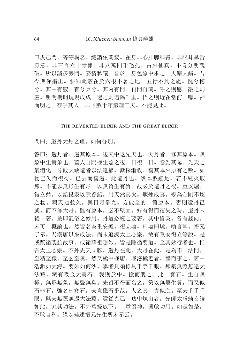曰戊己門。等等異名。總謂伭關竅。在身非心肝脾肺腎。非眼耳鼻舌 身意。非三百六十骨節。非八萬四千毛孔。古來仙真。不肯分明說 破。所以諸多旁門。妄猜私議。皆於一身色象中求之。大錯大錯。吾 今與你指出。要知此竅在於六根不著之地。五行不到之處。恍兮惚 兮。其中有竅。杳兮冥兮。其内有門。自開自闔。呼之則應。敲之則 靈。明明朗朗現現成成。迷之則遠隔千里。悟之則近在當前。噫。神 而明之。存乎其人。非下數十年窮理工夫。不能見此。

### the reverted elixir and the great elixir

問曰:還丹大丹之理。如何分別。

答曰: 還丹者。還其原本。後天中返先天也。大丹者。修其原本。無 象中生實象也。蓋人自陽極生陰之後。日復一日。陰剝其陽。先天之 氣消化。分數大缺還者以法追攝。漸採漸收。復其本來原有之數。如 物已失而復得。已去而復還。此還丹也。然本數雖足。若不經火煆 煉。不能以無形生有形。以無質生有質。故必於還丹之後。重安爐。 復立鼎。以鉛投汞以汞養鉛。用天然真火。煆煉成真。變為金剛不壞 之物。與天地並久。與日月爭光。方能全的一箇原本。否則還丹已 就。而不修大丹。雖有原本。必不堅固。終有得而復失之時。還丹末 後一著。按即混俗之妙用。丹道必經之要著。其中旨契。各有趨向。 未可一概論也。然皆名為重安爐。復立鼎。曰鼎曰爐。喻言耳。悟元 子示。乃漢唐以來成法。尚未追溯太上心宗。故有重安復立等說。是 或蹤循裴航故事。或循薛祖隱妙。皆是踵循要道。全其妙行者也。惟 吾太上心宗。不外先天立腳。還丹在此。大丹在此。是為不二法門。 至精至微。至玄至奧。然又極中極庸。極淺極近者。體而事之。箇中 浩渺如大海。要妙如何沙。學者只須修具千手千眼。煉築無際無邊大 法藏。藏有吸金大寶石。我則於中。撿而襲之。此一寶石。生自無 極。無形無象。無聲無臭。先哲不得而名之。第以無質生質。而又似 石非石。強名曰寶石。夫豈磁石乎哉。人之真一實似之。至夫千手千 眼。與夫無際無邊大法藏。還從克己一功中煉出者。先師太虛翁玄論 如此。究其功法。不外萬緣放下。一意留坤。開啟功用。如是如是。 不敢自私。謹以補述悟元先生所未示云。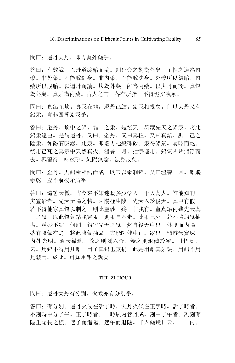問曰: 還丹大丹。即内藥外藥乎。

答曰:有數說。以丹道終始而論。則延命之術為外藥。了性之道為内 藥。非外藥。不能脫幻身。非内藥。不能脫法身。外藥所以結胎。内 藥所以脫胎。以還丹而論。坎為外藥。離為内藥。以大丹而論。真鉛 為外藥。真汞為内藥。古人之言。各有所指。不得泥文執象。

問曰: 真鉛在坎。真汞在離。還丹已結。鉛汞相投矣。何以大丹又有 鉛汞。豈非四箇鉛汞乎。

答曰: 還丹。坎中之鉛。離中之汞。是後天中所藏先天之鉛汞。將此 鉛汞返出。是謂還丹。又曰。金丹。又曰真種。又曰真鉛。點一己之 陰汞。如磁石吸鐵。此汞。即離内七般硃砂。汞得鉛氣。霎時而乾。 後用已死之真汞中天然真火。溫養十月。抽添運用。鉛氣片片飛浮而 去。秖留得一味靈砂。純陽無陰。法身成矣。

問曰: 金丹。乃鉛汞相結而成。既云以汞制鉛。又曰溫養十月。鉛飛 汞乾。豈不前後矛盾乎。

答曰: 這箇天機。古今來不知迷殺多少學人。千人萬人。誰能知的。 夫靈砂者。先天至陽之物。因陽極生陰。先天入於後天。真中有假。 若不得他家真鉛以制之。則此靈砂。終。非我有。蓋真鉛内藏先天真 一之氣。以此鉛氣點我靈汞。則汞自不走。此汞已死。若不將鉛氣抽 盡。靈砂不結。何則。鉛雖先天之氣。然自後天中出。外陰而内陽。 蒂有陰氣在焉。將此陰氣抽盡。方能剛健中正。露出一顆黍米寶珠。 内外光明。通天徹地。放之則彌六合。卷之則退藏於密。『悟真』 云。用鉛不得用凡鉛。用了真鉛也棄捐。此是用鉛真妙訣。用鉛不用 是誠言。於此。可知用鉛之說矣。

### THE ZI HOUR

問曰: 還丹大丹有分別。火候亦有分別乎。

答曰:有分別。還丹火候在子丹火候在正字時。活子時者。 不刻時中分子午。正子時者。一時辰内管丹成。刻中子午者。刻刻有 陰生陽長之機。遇子而進陽。遇午而退陰。『入藥鏡』云。一日内。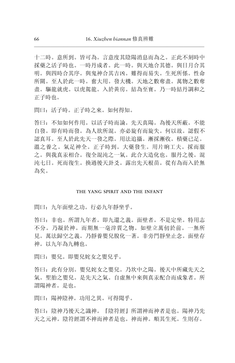十二時。意所到。皆可為。言意度其陰陽消息而為之。正此不刻時中 採藥之活子時也。一時丹成者。此一時。與天地合其德。與日月合其 明。與四時合其序。與鬼神合其吉凶。難得而易失。生死所係。性命 所關。至人於此一時。奮大用。發大機。天地之數奪盡。萬物之數奪 盡。驅龍就虎。以虎駕龍。入於黃房。結為至寶。乃一時結丹調和之 正子時也。

問曰: 活子時。正子時之來。如何得知。

答曰: 不知如何作用。以活子時而論。先天真陽。為後天所蔽。不能 自發。即有時而發。為人欲所混。亦必旋有而旋失。何以故。認假不 認真耳。至人於此先天一發之際。用法追攝。漸採漸收。積藥已足。 溫之養之。氣足神全。正子時到。大藥發生。用片晌工夫。採而服 之。與我真汞相合。復全混沌之一氣。此合大造化也。服丹之後。混 沌七日。死而復生。換過後天卦爻。露出先天根苗。從有為而入於無 為矣。

### THE YANG SPIRIT AND THE INFANT

問曰,九年面壁之功。行必九年靜坐乎。

答曰: 非也。所謂九年者。即九還之義。面壁者。不是定坐。特用志 不分。乃凝於神。而期無一毫滓質之物。如壁立萬仞於前。一無所 見。萬法歸空之義。乃靜養嬰兒脫化一著。非旁門靜坐止念。面壁存 神。以九年為九轉也。

問曰: 嬰兒。即嬰兒姹女之嬰兒乎。

答曰: 此有分別。嬰兒姹女之嬰兒。乃坎中之陽。後天中所藏先天之 氣。聖胎之嬰兒。是先天之氣。自虛無中來與真汞配合而成象者。所 謂陽神者。是也。

問曰: 陽神陰神。功用之異。可得聞乎。

答曰: 陰神乃後天之識神。『陰符經』所謂神而神者是也。陽神乃先 天之元神。陰符經謂不神而神者是也。神而神。順其生死。生則存。